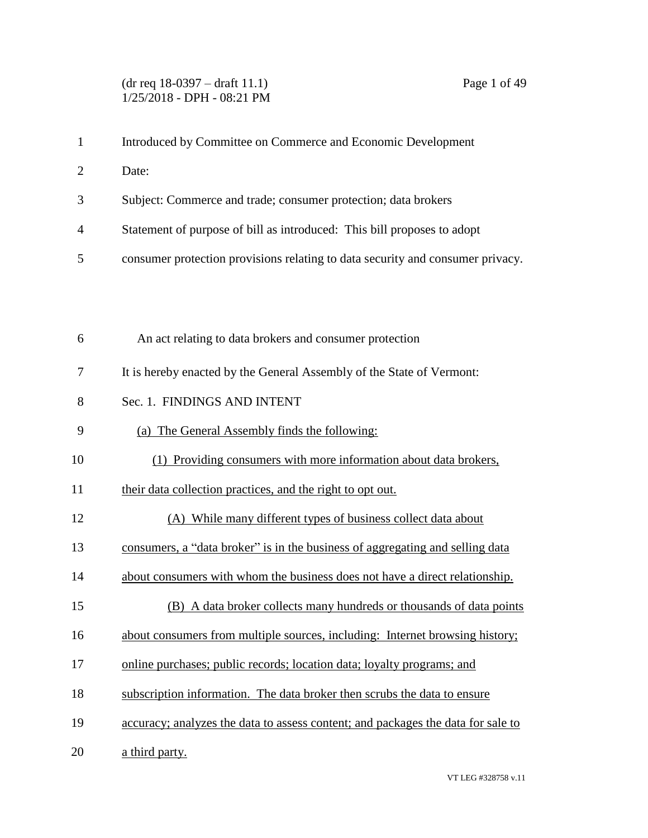# (dr req 18-0397 – draft 11.1) Page 1 of 49 1/25/2018 - DPH - 08:21 PM

| $\mathbf{1}$ | Introduced by Committee on Commerce and Economic Development                     |
|--------------|----------------------------------------------------------------------------------|
| $\mathbf{2}$ | Date:                                                                            |
| 3            | Subject: Commerce and trade; consumer protection; data brokers                   |
| 4            | Statement of purpose of bill as introduced: This bill proposes to adopt          |
| 5            | consumer protection provisions relating to data security and consumer privacy.   |
|              |                                                                                  |
|              |                                                                                  |
| 6            | An act relating to data brokers and consumer protection                          |
| 7            | It is hereby enacted by the General Assembly of the State of Vermont:            |
| 8            | Sec. 1. FINDINGS AND INTENT                                                      |
| 9            | (a) The General Assembly finds the following:                                    |
| 10           | (1) Providing consumers with more information about data brokers,                |
| 11           | their data collection practices, and the right to opt out.                       |
| 12           | (A) While many different types of business collect data about                    |
| 13           | consumers, a "data broker" is in the business of aggregating and selling data    |
| 14           | about consumers with whom the business does not have a direct relationship.      |
| 15           | (B) A data broker collects many hundreds or thousands of data points             |
| 16           | about consumers from multiple sources, including: Internet browsing history;     |
| 17           | online purchases; public records; location data; loyalty programs; and           |
| 18           | subscription information. The data broker then scrubs the data to ensure         |
| 19           | accuracy; analyzes the data to assess content; and packages the data for sale to |
| 20           | a third party.                                                                   |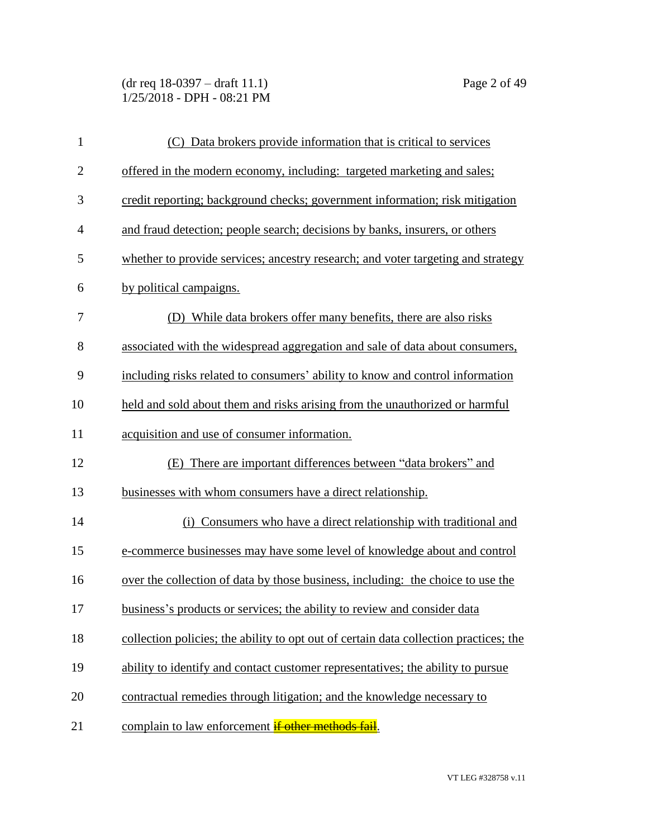(dr req 18-0397 – draft 11.1) Page 2 of 49 1/25/2018 - DPH - 08:21 PM

| $\mathbf{1}$   | (C) Data brokers provide information that is critical to services                     |
|----------------|---------------------------------------------------------------------------------------|
| $\overline{2}$ | offered in the modern economy, including: targeted marketing and sales;               |
| 3              | credit reporting; background checks; government information; risk mitigation          |
| $\overline{4}$ | and fraud detection; people search; decisions by banks, insurers, or others           |
| 5              | whether to provide services; ancestry research; and voter targeting and strategy      |
| 6              | by political campaigns.                                                               |
| 7              | (D) While data brokers offer many benefits, there are also risks                      |
| 8              | associated with the widespread aggregation and sale of data about consumers,          |
| 9              | including risks related to consumers' ability to know and control information         |
| 10             | held and sold about them and risks arising from the unauthorized or harmful           |
| 11             | acquisition and use of consumer information.                                          |
| 12             | (E) There are important differences between "data brokers" and                        |
| 13             | businesses with whom consumers have a direct relationship.                            |
| 14             | (i) Consumers who have a direct relationship with traditional and                     |
| 15             | e-commerce businesses may have some level of knowledge about and control              |
| 16             | over the collection of data by those business, including: the choice to use the       |
| 17             | business's products or services; the ability to review and consider data              |
| 18             | collection policies; the ability to opt out of certain data collection practices; the |
| 19             | ability to identify and contact customer representatives; the ability to pursue       |
| 20             | contractual remedies through litigation; and the knowledge necessary to               |
| 21             | complain to law enforcement if other methods fail.                                    |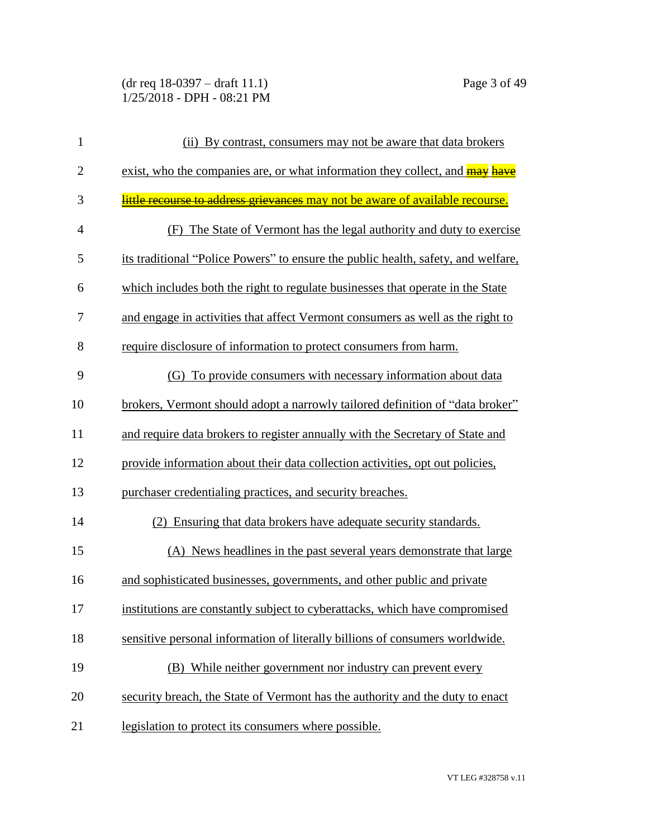(dr req 18-0397 – draft 11.1) Page 3 of 49 1/25/2018 - DPH - 08:21 PM

| $\mathbf{1}$   | (ii) By contrast, consumers may not be aware that data brokers                      |
|----------------|-------------------------------------------------------------------------------------|
| $\overline{2}$ | exist, who the companies are, or what information they collect, and <b>may have</b> |
| 3              | little recourse to address grievances may not be aware of available recourse.       |
| $\overline{4}$ | The State of Vermont has the legal authority and duty to exercise                   |
| 5              | its traditional "Police Powers" to ensure the public health, safety, and welfare,   |
| 6              | which includes both the right to regulate businesses that operate in the State      |
| 7              | and engage in activities that affect Vermont consumers as well as the right to      |
| 8              | require disclosure of information to protect consumers from harm.                   |
| 9              | (G) To provide consumers with necessary information about data                      |
| 10             | brokers, Vermont should adopt a narrowly tailored definition of "data broker"       |
| 11             | and require data brokers to register annually with the Secretary of State and       |
| 12             | provide information about their data collection activities, opt out policies,       |
| 13             | purchaser credentialing practices, and security breaches.                           |
| 14             | (2) Ensuring that data brokers have adequate security standards.                    |
| 15             | (A) News headlines in the past several years demonstrate that large                 |
| 16             | and sophisticated businesses, governments, and other public and private             |
| 17             | institutions are constantly subject to cyberattacks, which have compromised         |
| 18             | sensitive personal information of literally billions of consumers worldwide.        |
| 19             | (B) While neither government nor industry can prevent every                         |
| 20             | security breach, the State of Vermont has the authority and the duty to enact       |
| 21             | legislation to protect its consumers where possible.                                |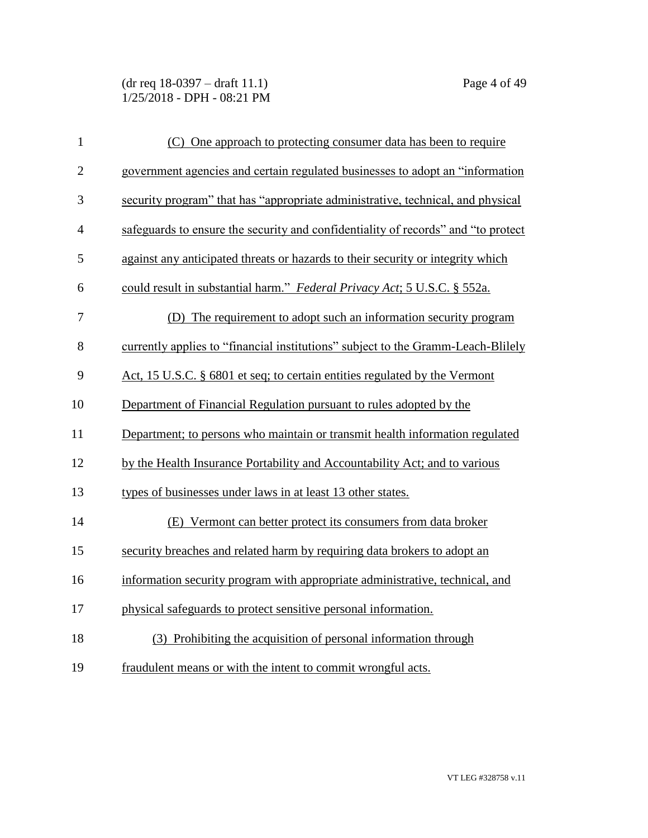(dr req 18-0397 – draft 11.1) Page 4 of 49 1/25/2018 - DPH - 08:21 PM

| $\mathbf{1}$   | (C) One approach to protecting consumer data has been to require                  |
|----------------|-----------------------------------------------------------------------------------|
| $\overline{2}$ | government agencies and certain regulated businesses to adopt an "information"    |
| 3              | security program" that has "appropriate administrative, technical, and physical   |
| $\overline{4}$ | safeguards to ensure the security and confidentiality of records" and "to protect |
| 5              | against any anticipated threats or hazards to their security or integrity which   |
| 6              | could result in substantial harm." Federal Privacy Act; 5 U.S.C. § 552a.          |
| 7              | (D) The requirement to adopt such an information security program                 |
| 8              | currently applies to "financial institutions" subject to the Gramm-Leach-Blilely  |
| 9              | Act, 15 U.S.C. § 6801 et seq; to certain entities regulated by the Vermont        |
| 10             | Department of Financial Regulation pursuant to rules adopted by the               |
| 11             | Department; to persons who maintain or transmit health information regulated      |
| 12             | by the Health Insurance Portability and Accountability Act; and to various        |
| 13             | types of businesses under laws in at least 13 other states.                       |
| 14             | (E) Vermont can better protect its consumers from data broker                     |
| 15             | security breaches and related harm by requiring data brokers to adopt an          |
| 16             | information security program with appropriate administrative, technical, and      |
| 17             | physical safeguards to protect sensitive personal information.                    |
| 18             | (3) Prohibiting the acquisition of personal information through                   |
| 19             | fraudulent means or with the intent to commit wrongful acts.                      |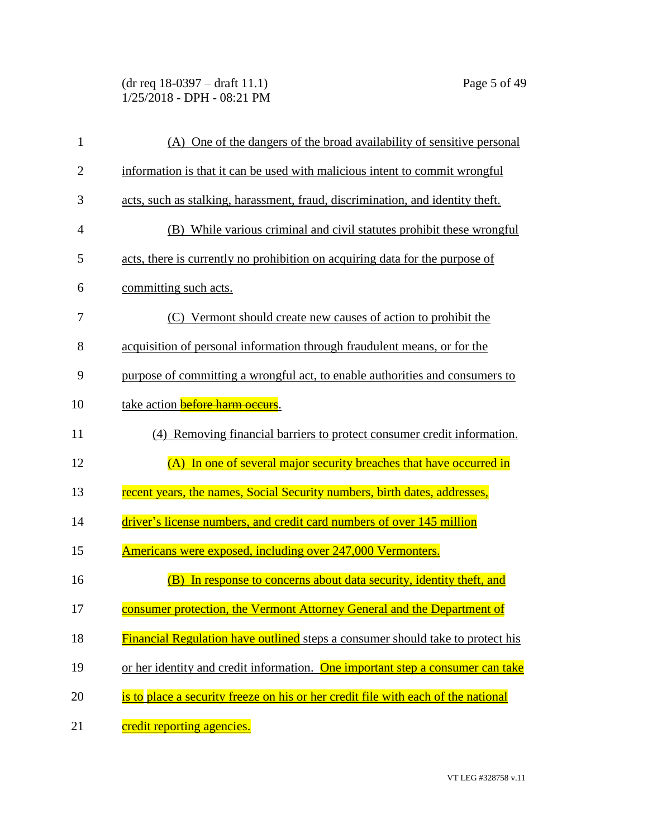(dr req 18-0397 – draft 11.1) Page 5 of 49 1/25/2018 - DPH - 08:21 PM

| $\mathbf{1}$   | (A) One of the dangers of the broad availability of sensitive personal            |
|----------------|-----------------------------------------------------------------------------------|
| $\overline{2}$ | information is that it can be used with malicious intent to commit wrongful       |
| 3              | acts, such as stalking, harassment, fraud, discrimination, and identity theft.    |
| 4              | (B) While various criminal and civil statutes prohibit these wrongful             |
| 5              | acts, there is currently no prohibition on acquiring data for the purpose of      |
| 6              | committing such acts.                                                             |
| 7              | (C) Vermont should create new causes of action to prohibit the                    |
| 8              | acquisition of personal information through fraudulent means, or for the          |
| 9              | purpose of committing a wrongful act, to enable authorities and consumers to      |
| 10             | take action <b>before harm occurs</b> .                                           |
| 11             | (4) Removing financial barriers to protect consumer credit information.           |
| 12             | (A) In one of several major security breaches that have occurred in               |
| 13             | recent years, the names, Social Security numbers, birth dates, addresses,         |
| 14             | driver's license numbers, and credit card numbers of over 145 million             |
| 15             | Americans were exposed, including over 247,000 Vermonters.                        |
| 16             | In response to concerns about data security, identity theft, and<br>(B)           |
| 17             | consumer protection, the Vermont Attorney General and the Department of           |
| 18             | Financial Regulation have outlined steps a consumer should take to protect his    |
| 19             | or her identity and credit information. One important step a consumer can take    |
| 20             | is to place a security freeze on his or her credit file with each of the national |
| 21             | credit reporting agencies.                                                        |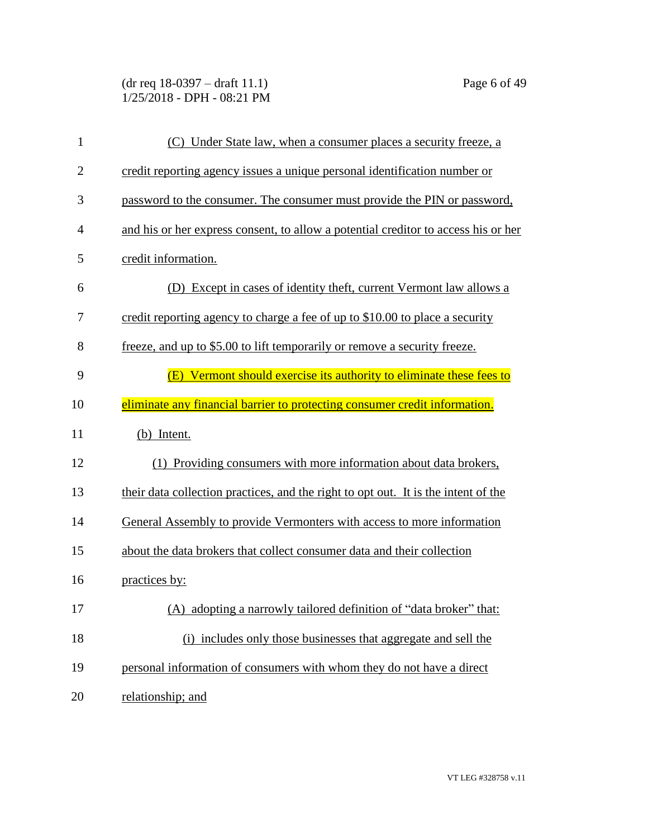(dr req 18-0397 – draft 11.1) Page 6 of 49 1/25/2018 - DPH - 08:21 PM

| $\mathbf{1}$ | (C) Under State law, when a consumer places a security freeze, a                   |
|--------------|------------------------------------------------------------------------------------|
| $\mathbf{2}$ | credit reporting agency issues a unique personal identification number or          |
| 3            | password to the consumer. The consumer must provide the PIN or password,           |
| 4            | and his or her express consent, to allow a potential creditor to access his or her |
| 5            | credit information.                                                                |
| 6            | (D) Except in cases of identity theft, current Vermont law allows a                |
| 7            | credit reporting agency to charge a fee of up to \$10.00 to place a security       |
| 8            | freeze, and up to \$5.00 to lift temporarily or remove a security freeze.          |
| 9            | Vermont should exercise its authority to eliminate these fees to<br>(E)            |
| 10           | eliminate any financial barrier to protecting consumer credit information.         |
| 11           | (b) Intent.                                                                        |
| 12           | (1) Providing consumers with more information about data brokers,                  |
| 13           | their data collection practices, and the right to opt out. It is the intent of the |
| 14           | General Assembly to provide Vermonters with access to more information             |
| 15           | about the data brokers that collect consumer data and their collection             |
| 16           | practices by:                                                                      |
| 17           | (A) adopting a narrowly tailored definition of "data broker" that:                 |
| 18           | (i) includes only those businesses that aggregate and sell the                     |
| 19           | personal information of consumers with whom they do not have a direct              |
| 20           | relationship; and                                                                  |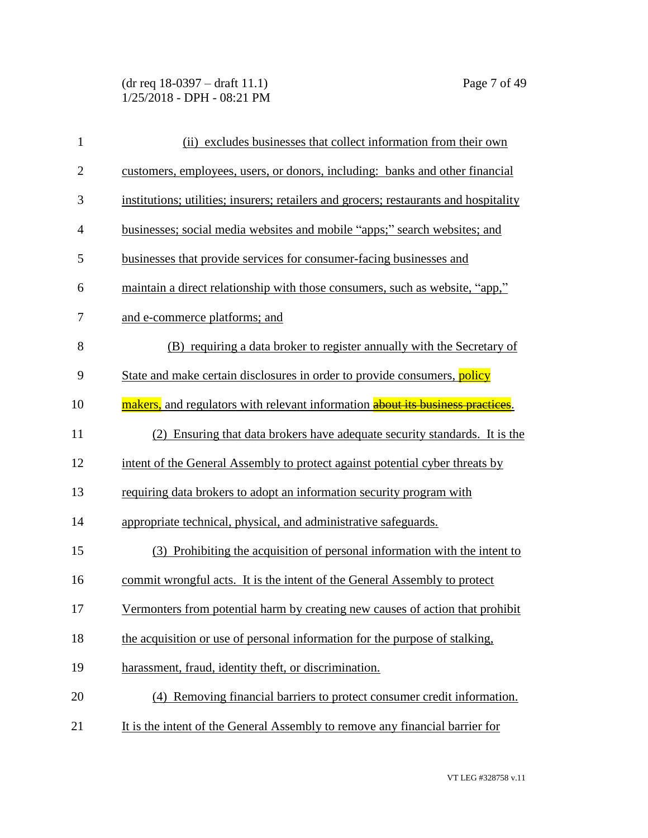(dr req 18-0397 – draft 11.1) Page 7 of 49 1/25/2018 - DPH - 08:21 PM

| $\mathbf{1}$   | (ii) excludes businesses that collect information from their own                      |
|----------------|---------------------------------------------------------------------------------------|
| $\mathbf{2}$   | customers, employees, users, or donors, including: banks and other financial          |
| 3              | institutions; utilities; insurers; retailers and grocers; restaurants and hospitality |
| $\overline{4}$ | businesses; social media websites and mobile "apps;" search websites; and             |
| 5              | businesses that provide services for consumer-facing businesses and                   |
| 6              | maintain a direct relationship with those consumers, such as website, "app,"          |
| 7              | and e-commerce platforms; and                                                         |
| 8              | (B) requiring a data broker to register annually with the Secretary of                |
| 9              | State and make certain disclosures in order to provide consumers, policy              |
| 10             | makers, and regulators with relevant information about its business practices.        |
| 11             | (2) Ensuring that data brokers have adequate security standards. It is the            |
| 12             | intent of the General Assembly to protect against potential cyber threats by          |
| 13             | requiring data brokers to adopt an information security program with                  |
| 14             | appropriate technical, physical, and administrative safeguards.                       |
| 15             | (3) Prohibiting the acquisition of personal information with the intent to            |
| 16             | commit wrongful acts. It is the intent of the General Assembly to protect             |
| 17             | Vermonters from potential harm by creating new causes of action that prohibit         |
| 18             | the acquisition or use of personal information for the purpose of stalking,           |
| 19             | harassment, fraud, identity theft, or discrimination.                                 |
| 20             | (4) Removing financial barriers to protect consumer credit information.               |
| 21             | It is the intent of the General Assembly to remove any financial barrier for          |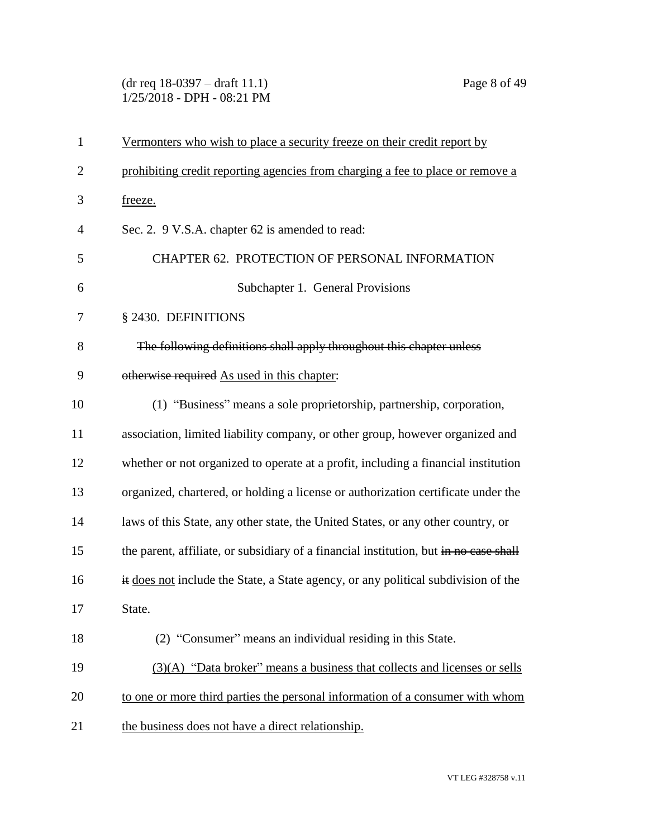(dr req 18-0397 – draft 11.1) Page 8 of 49 1/25/2018 - DPH - 08:21 PM

| $\mathbf{1}$   | Vermonters who wish to place a security freeze on their credit report by              |
|----------------|---------------------------------------------------------------------------------------|
| $\overline{2}$ | prohibiting credit reporting agencies from charging a fee to place or remove a        |
| 3              | freeze.                                                                               |
| $\overline{4}$ | Sec. 2. 9 V.S.A. chapter 62 is amended to read:                                       |
| 5              | CHAPTER 62. PROTECTION OF PERSONAL INFORMATION                                        |
| 6              | Subchapter 1. General Provisions                                                      |
| 7              | § 2430. DEFINITIONS                                                                   |
| 8              | The following definitions shall apply throughout this chapter unless                  |
| 9              | otherwise required As used in this chapter:                                           |
| 10             | (1) "Business" means a sole proprietorship, partnership, corporation,                 |
| 11             | association, limited liability company, or other group, however organized and         |
| 12             | whether or not organized to operate at a profit, including a financial institution    |
| 13             | organized, chartered, or holding a license or authorization certificate under the     |
| 14             | laws of this State, any other state, the United States, or any other country, or      |
| 15             | the parent, affiliate, or subsidiary of a financial institution, but in no case shall |
| 16             | it does not include the State, a State agency, or any political subdivision of the    |
| 17             | State.                                                                                |
| 18             | (2) "Consumer" means an individual residing in this State.                            |
| 19             | (3)(A) "Data broker" means a business that collects and licenses or sells             |
| 20             | to one or more third parties the personal information of a consumer with whom         |
| 21             | the business does not have a direct relationship.                                     |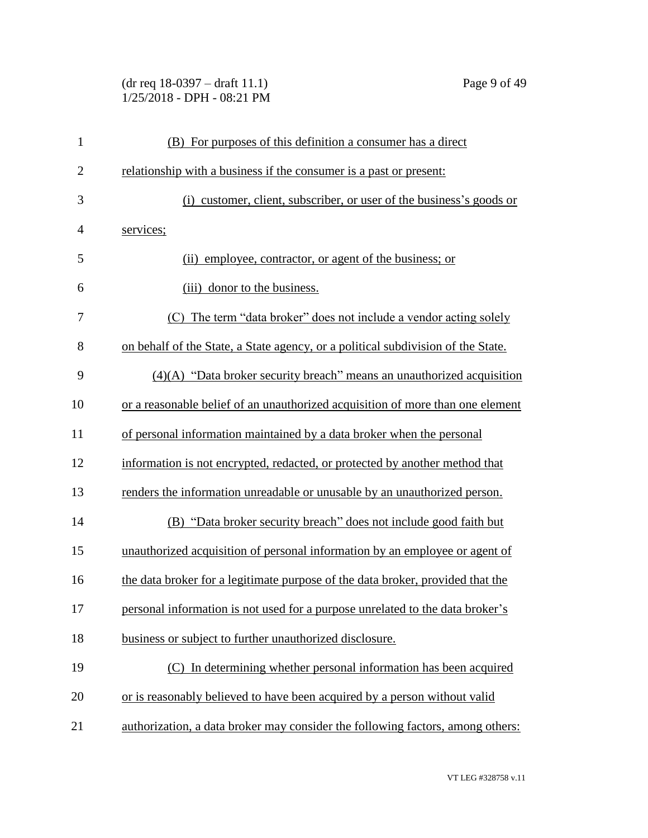(dr req 18-0397 – draft 11.1) Page 9 of 49 1/25/2018 - DPH - 08:21 PM

| $\mathbf{1}$   | (B) For purposes of this definition a consumer has a direct                      |
|----------------|----------------------------------------------------------------------------------|
| $\overline{2}$ | relationship with a business if the consumer is a past or present:               |
| 3              | (i) customer, client, subscriber, or user of the business's goods or             |
| $\overline{4}$ | services;                                                                        |
| 5              | employee, contractor, or agent of the business; or<br>(ii)                       |
| 6              | (iii) donor to the business.                                                     |
| 7              | (C) The term "data broker" does not include a vendor acting solely               |
| 8              | on behalf of the State, a State agency, or a political subdivision of the State. |
| 9              | $(4)(A)$ "Data broker security breach" means an unauthorized acquisition         |
| 10             | or a reasonable belief of an unauthorized acquisition of more than one element   |
| 11             | of personal information maintained by a data broker when the personal            |
| 12             | information is not encrypted, redacted, or protected by another method that      |
| 13             | renders the information unreadable or unusable by an unauthorized person.        |
| 14             | <u>(B) "Data broker security breach" does not include good faith but</u>         |
| 15             | unauthorized acquisition of personal information by an employee or agent of      |
| 16             | the data broker for a legitimate purpose of the data broker, provided that the   |
| 17             | personal information is not used for a purpose unrelated to the data broker's    |
| 18             | business or subject to further unauthorized disclosure.                          |
| 19             | (C) In determining whether personal information has been acquired                |
| 20             | or is reasonably believed to have been acquired by a person without valid        |
| 21             | authorization, a data broker may consider the following factors, among others:   |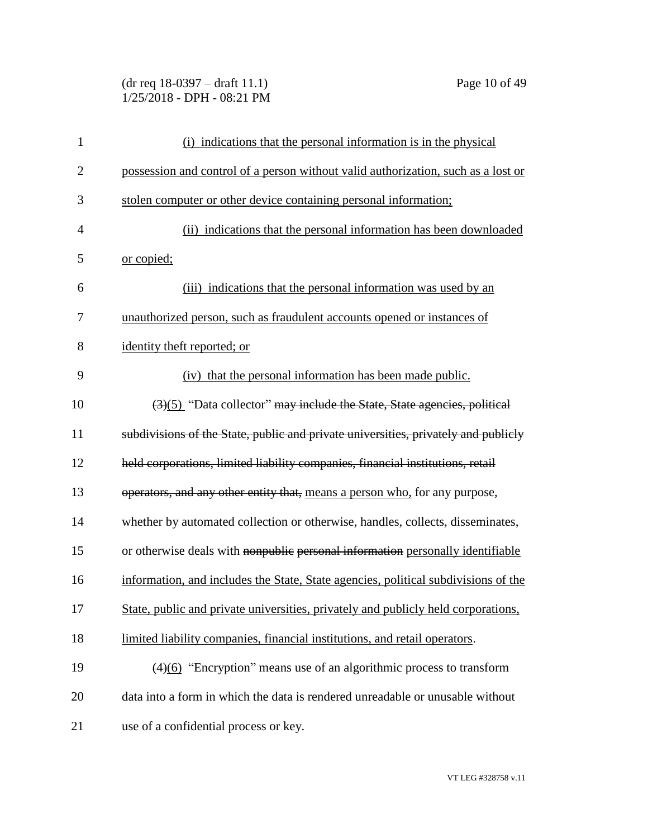(dr req 18-0397 – draft 11.1) Page 10 of 49 1/25/2018 - DPH - 08:21 PM

| $\mathbf{1}$   | (i) indications that the personal information is in the physical                             |
|----------------|----------------------------------------------------------------------------------------------|
| $\overline{2}$ | possession and control of a person without valid authorization, such as a lost or            |
| 3              | stolen computer or other device containing personal information;                             |
| $\overline{4}$ | (ii) indications that the personal information has been downloaded                           |
| 5              | or copied;                                                                                   |
| 6              | (iii) indications that the personal information was used by an                               |
| 7              | unauthorized person, such as fraudulent accounts opened or instances of                      |
| 8              | identity theft reported; or                                                                  |
| 9              | (iv) that the personal information has been made public.                                     |
| 10             | $\left(\frac{3}{5}\right)$ "Data collector" may include the State, State agencies, political |
| 11             | subdivisions of the State, public and private universities, privately and publicly           |
| 12             | held corporations, limited liability companies, financial institutions, retail               |
| 13             | operators, and any other entity that, means a person who, for any purpose,                   |
| 14             | whether by automated collection or otherwise, handles, collects, disseminates,               |
| 15             | or otherwise deals with nonpublic personal information personally identifiable               |
| 16             | information, and includes the State, State agencies, political subdivisions of the           |
| 17             | State, public and private universities, privately and publicly held corporations,            |
| 18             | limited liability companies, financial institutions, and retail operators.                   |
| 19             | $(4)(6)$ "Encryption" means use of an algorithmic process to transform                       |
| 20             | data into a form in which the data is rendered unreadable or unusable without                |
| 21             | use of a confidential process or key.                                                        |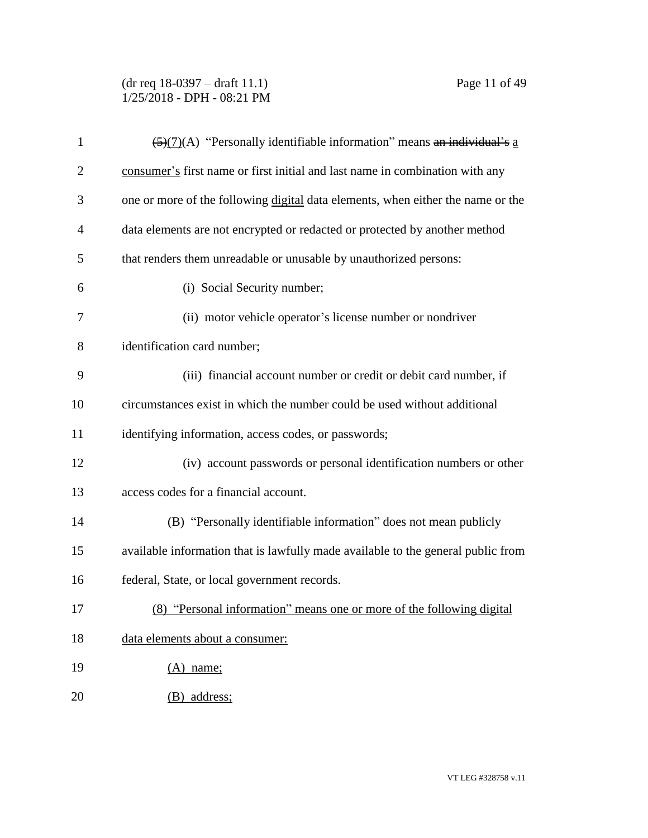(dr req 18-0397 – draft 11.1) Page 11 of 49 1/25/2018 - DPH - 08:21 PM

| $\mathbf{1}$   | $\frac{5}{(2)(7)}$ (A) "Personally identifiable information" means an individual's a |
|----------------|--------------------------------------------------------------------------------------|
| $\overline{2}$ | consumer's first name or first initial and last name in combination with any         |
| 3              | one or more of the following digital data elements, when either the name or the      |
| 4              | data elements are not encrypted or redacted or protected by another method           |
| 5              | that renders them unreadable or unusable by unauthorized persons:                    |
| 6              | (i) Social Security number;                                                          |
| 7              | (ii) motor vehicle operator's license number or nondriver                            |
| 8              | identification card number;                                                          |
| 9              | (iii) financial account number or credit or debit card number, if                    |
| 10             | circumstances exist in which the number could be used without additional             |
| 11             | identifying information, access codes, or passwords;                                 |
| 12             | (iv) account passwords or personal identification numbers or other                   |
| 13             | access codes for a financial account.                                                |
| 14             | (B) "Personally identifiable information" does not mean publicly                     |
| 15             | available information that is lawfully made available to the general public from     |
| 16             | federal, State, or local government records.                                         |
| 17             | (8) "Personal information" means one or more of the following digital                |
| 18             | data elements about a consumer:                                                      |
| 19             | $(A)$ name;                                                                          |
| 20             | (B) address;                                                                         |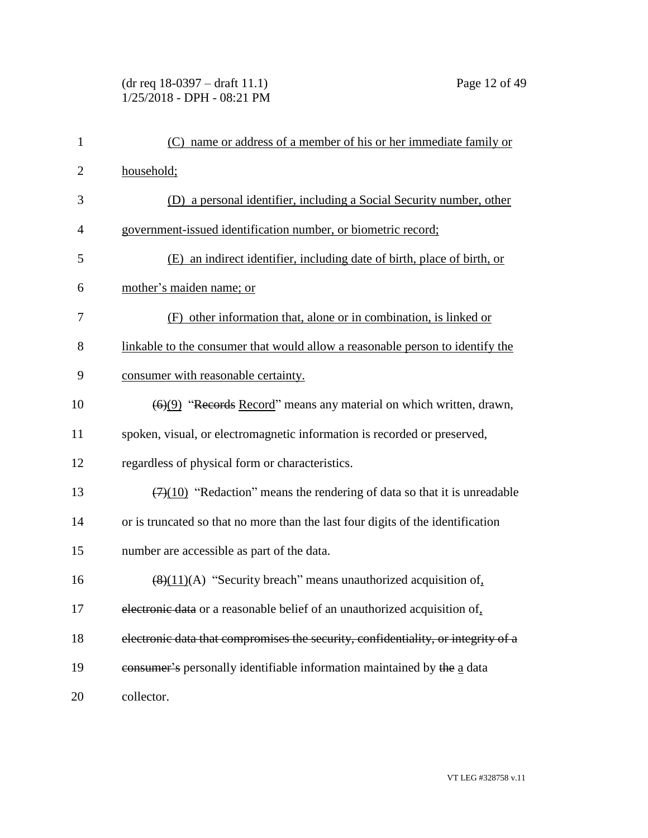## (dr req 18-0397 – draft 11.1) Page 12 of 49 1/25/2018 - DPH - 08:21 PM

| $\mathbf{1}$   | (C) name or address of a member of his or her immediate family or                            |
|----------------|----------------------------------------------------------------------------------------------|
| $\overline{c}$ | household;                                                                                   |
| 3              | (D) a personal identifier, including a Social Security number, other                         |
| 4              | government-issued identification number, or biometric record;                                |
| 5              | (E) an indirect identifier, including date of birth, place of birth, or                      |
| 6              | mother's maiden name; or                                                                     |
| 7              | (F) other information that, alone or in combination, is linked or                            |
| 8              | linkable to the consumer that would allow a reasonable person to identify the                |
| 9              | consumer with reasonable certainty.                                                          |
| 10             | $\left(\frac{6}{9}\right)$ "Records Record" means any material on which written, drawn,      |
| 11             | spoken, visual, or electromagnetic information is recorded or preserved,                     |
| 12             | regardless of physical form or characteristics.                                              |
| 13             | $\left(\frac{7}{10}\right)$ "Redaction" means the rendering of data so that it is unreadable |
| 14             | or is truncated so that no more than the last four digits of the identification              |
| 15             | number are accessible as part of the data.                                                   |
| 16             | $(8)(11)(A)$ "Security breach" means unauthorized acquisition of,                            |
| 17             | electronic data or a reasonable belief of an unauthorized acquisition of,                    |
| 18             | electronic data that compromises the security, confidentiality, or integrity of a            |
| 19             | consumer's personally identifiable information maintained by the a data                      |
| 20             | collector.                                                                                   |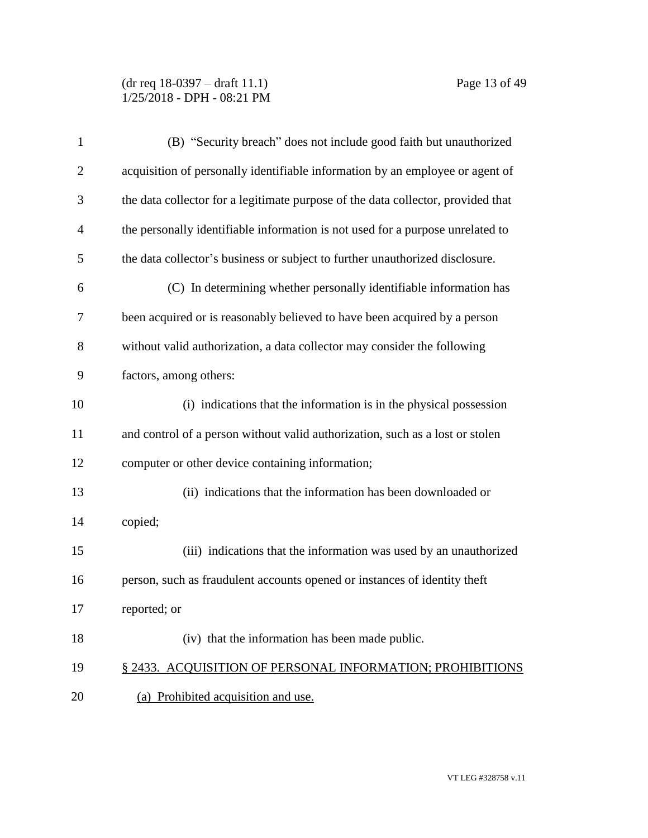(dr req 18-0397 – draft 11.1) Page 13 of 49 1/25/2018 - DPH - 08:21 PM

| $\mathbf{1}$   | (B) "Security breach" does not include good faith but unauthorized               |
|----------------|----------------------------------------------------------------------------------|
| $\overline{2}$ | acquisition of personally identifiable information by an employee or agent of    |
| 3              | the data collector for a legitimate purpose of the data collector, provided that |
| $\overline{4}$ | the personally identifiable information is not used for a purpose unrelated to   |
| 5              | the data collector's business or subject to further unauthorized disclosure.     |
| 6              | (C) In determining whether personally identifiable information has               |
| 7              | been acquired or is reasonably believed to have been acquired by a person        |
| 8              | without valid authorization, a data collector may consider the following         |
| 9              | factors, among others:                                                           |
| 10             | (i) indications that the information is in the physical possession               |
| 11             | and control of a person without valid authorization, such as a lost or stolen    |
| 12             | computer or other device containing information;                                 |
| 13             | (ii) indications that the information has been downloaded or                     |
| 14             | copied;                                                                          |
| 15             | (iii) indications that the information was used by an unauthorized               |
| 16             | person, such as fraudulent accounts opened or instances of identity theft        |
| 17             | reported; or                                                                     |
| 18             | (iv) that the information has been made public.                                  |
| 19             | § 2433. ACQUISITION OF PERSONAL INFORMATION; PROHIBITIONS                        |
| 20             | (a) Prohibited acquisition and use.                                              |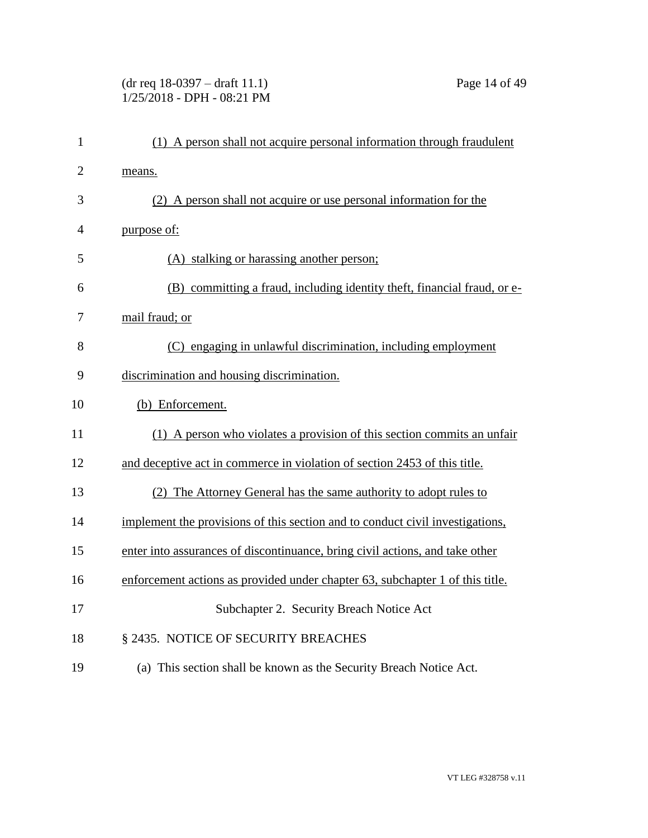## (dr req 18-0397 – draft 11.1) Page 14 of 49 1/25/2018 - DPH - 08:21 PM

| $\mathbf{1}$   | (1) A person shall not acquire personal information through fraudulent        |
|----------------|-------------------------------------------------------------------------------|
| $\overline{2}$ | means.                                                                        |
| 3              | (2) A person shall not acquire or use personal information for the            |
| 4              | purpose of:                                                                   |
| 5              | (A) stalking or harassing another person;                                     |
| 6              | (B) committing a fraud, including identity theft, financial fraud, or e-      |
| 7              | mail fraud; or                                                                |
| 8              | (C) engaging in unlawful discrimination, including employment                 |
| 9              | discrimination and housing discrimination.                                    |
| 10             | (b) Enforcement.                                                              |
| 11             | (1) A person who violates a provision of this section commits an unfair       |
| 12             | and deceptive act in commerce in violation of section 2453 of this title.     |
| 13             | (2) The Attorney General has the same authority to adopt rules to             |
| 14             | implement the provisions of this section and to conduct civil investigations, |
| 15             | enter into assurances of discontinuance, bring civil actions, and take other  |
| 16             | enforcement actions as provided under chapter 63, subchapter 1 of this title. |
| 17             | Subchapter 2. Security Breach Notice Act                                      |
| 18             | § 2435. NOTICE OF SECURITY BREACHES                                           |
| 19             | (a) This section shall be known as the Security Breach Notice Act.            |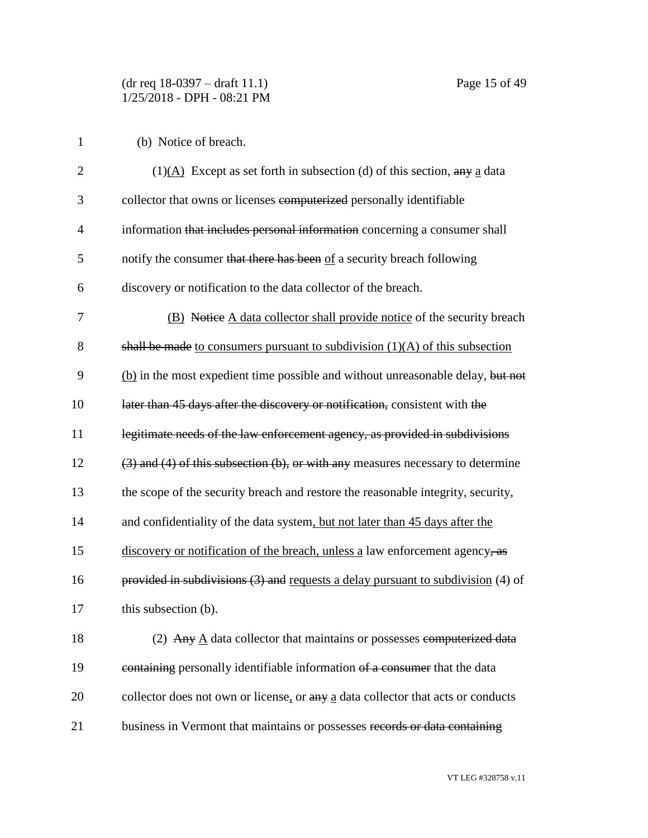(dr req 18-0397 – draft 11.1) Page 15 of 49 1/25/2018 - DPH - 08:21 PM

(b) Notice of breach.

| $\mathfrak{2}$ | $(1)$ (A) Except as set forth in subsection (d) of this section, any a data            |
|----------------|----------------------------------------------------------------------------------------|
| 3              | collector that owns or licenses computerized personally identifiable                   |
| $\overline{4}$ | information that includes personal information concerning a consumer shall             |
| 5              | notify the consumer that there has been of a security breach following                 |
| 6              | discovery or notification to the data collector of the breach.                         |
| 7              | (B) Notice A data collector shall provide notice of the security breach                |
| 8              | shall be made to consumers pursuant to subdivision $(1)(A)$ of this subsection         |
| 9              | (b) in the most expedient time possible and without unreasonable delay, but not        |
| 10             | later than 45 days after the discovery or notification, consistent with the            |
| 11             | legitimate needs of the law enforcement agency, as provided in subdivisions            |
| 12             | $(3)$ and $(4)$ of this subsection $(b)$ , or with any measures necessary to determine |
| 13             | the scope of the security breach and restore the reasonable integrity, security,       |
| 14             | and confidentiality of the data system, but not later than 45 days after the           |
| 15             | discovery or notification of the breach, unless a law enforcement agency, as           |
| 16             | provided in subdivisions (3) and requests a delay pursuant to subdivision (4) of       |
| 17             | this subsection (b).                                                                   |
| 18             | (2) Any $\underline{A}$ data collector that maintains or possesses computerized data   |
| 19             | containing personally identifiable information of a consumer that the data             |
| 20             | collector does not own or license, or any a data collector that acts or conducts       |
| 21             | business in Vermont that maintains or possesses records or data containing             |

VT LEG #328758 v.11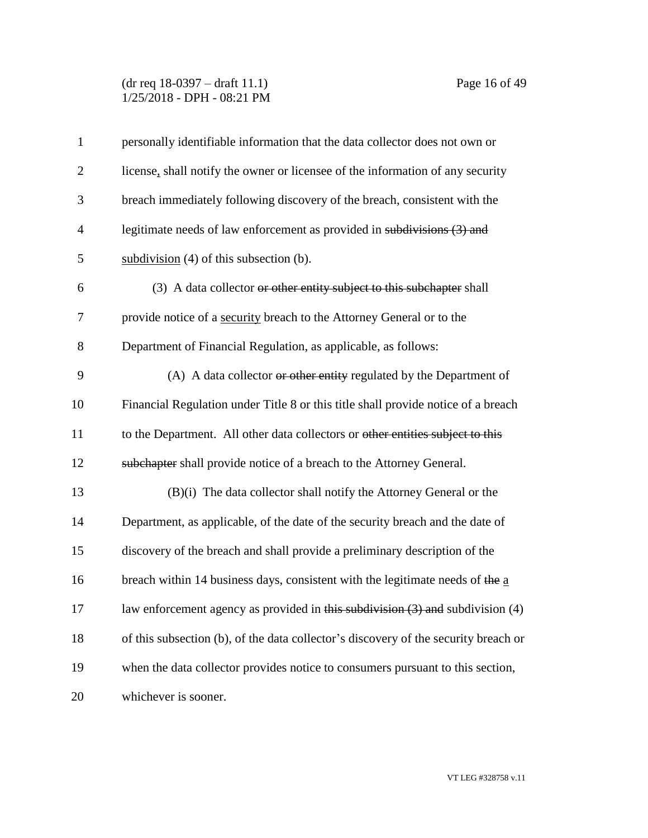(dr req 18-0397 – draft 11.1) Page 16 of 49 1/25/2018 - DPH - 08:21 PM

| $\mathbf{1}$   | personally identifiable information that the data collector does not own or                 |
|----------------|---------------------------------------------------------------------------------------------|
| $\overline{2}$ | license, shall notify the owner or licensee of the information of any security              |
| 3              | breach immediately following discovery of the breach, consistent with the                   |
| $\overline{4}$ | legitimate needs of law enforcement as provided in subdivisions (3) and                     |
| 5              | subdivision $(4)$ of this subsection $(b)$ .                                                |
| 6              | (3) A data collector or other entity subject to this subchapter shall                       |
| 7              | provide notice of a security breach to the Attorney General or to the                       |
| 8              | Department of Financial Regulation, as applicable, as follows:                              |
| 9              | (A) A data collector or other entity regulated by the Department of                         |
| 10             | Financial Regulation under Title 8 or this title shall provide notice of a breach           |
| 11             | to the Department. All other data collectors or other entities subject to this              |
| 12             | subchapter shall provide notice of a breach to the Attorney General.                        |
| 13             | (B)(i) The data collector shall notify the Attorney General or the                          |
| 14             | Department, as applicable, of the date of the security breach and the date of               |
| 15             | discovery of the breach and shall provide a preliminary description of the                  |
| 16             | breach within 14 business days, consistent with the legitimate needs of the $\underline{a}$ |
| 17             | law enforcement agency as provided in this subdivision $(3)$ and subdivision $(4)$          |
| 18             | of this subsection (b), of the data collector's discovery of the security breach or         |
| 19             | when the data collector provides notice to consumers pursuant to this section,              |
| 20             | whichever is sooner.                                                                        |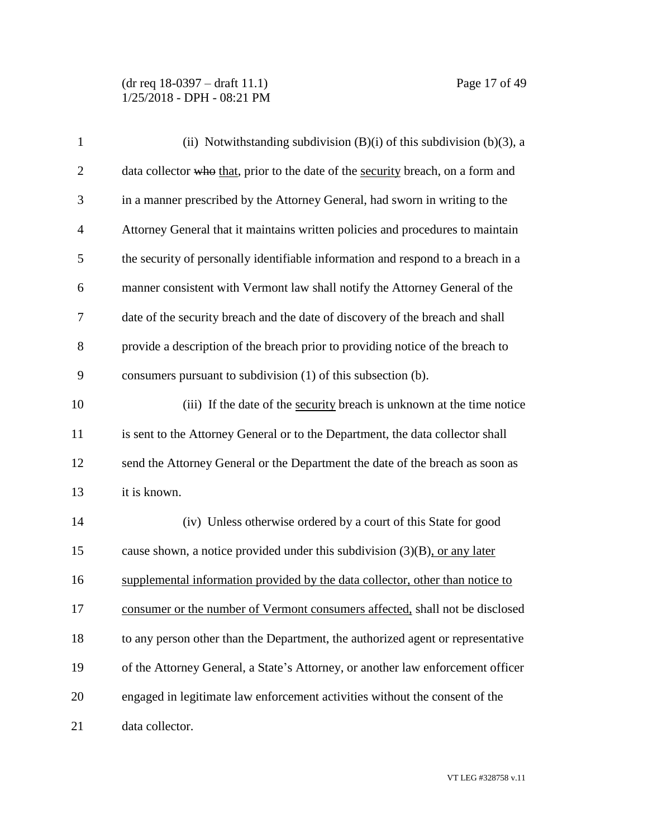(dr req 18-0397 – draft 11.1) Page 17 of 49 1/25/2018 - DPH - 08:21 PM

| $\mathbf{1}$   | (ii) Notwithstanding subdivision $(B)(i)$ of this subdivision $(b)(3)$ , a       |
|----------------|----------------------------------------------------------------------------------|
| $\overline{2}$ | data collector who that, prior to the date of the security breach, on a form and |
| 3              | in a manner prescribed by the Attorney General, had sworn in writing to the      |
| $\overline{4}$ | Attorney General that it maintains written policies and procedures to maintain   |
| 5              | the security of personally identifiable information and respond to a breach in a |
| 6              | manner consistent with Vermont law shall notify the Attorney General of the      |
| 7              | date of the security breach and the date of discovery of the breach and shall    |
| 8              | provide a description of the breach prior to providing notice of the breach to   |
| 9              | consumers pursuant to subdivision (1) of this subsection (b).                    |
| 10             | (iii) If the date of the security breach is unknown at the time notice           |
| 11             | is sent to the Attorney General or to the Department, the data collector shall   |
| 12             | send the Attorney General or the Department the date of the breach as soon as    |
| 13             | it is known.                                                                     |
| 14             | (iv) Unless otherwise ordered by a court of this State for good                  |
| 15             | cause shown, a notice provided under this subdivision $(3)(B)$ , or any later    |
| 16             | supplemental information provided by the data collector, other than notice to    |
| 17             | consumer or the number of Vermont consumers affected, shall not be disclosed     |
| 18             | to any person other than the Department, the authorized agent or representative  |
| 19             | of the Attorney General, a State's Attorney, or another law enforcement officer  |
| 20             | engaged in legitimate law enforcement activities without the consent of the      |
| 21             | data collector.                                                                  |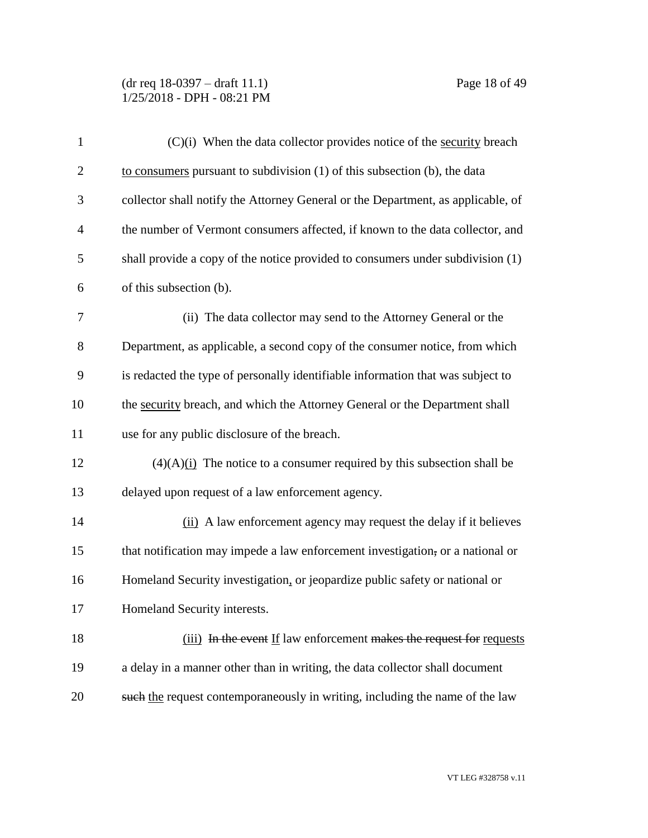(dr req 18-0397 – draft 11.1) Page 18 of 49 1/25/2018 - DPH - 08:21 PM

| $\mathbf{1}$   | $(C)(i)$ When the data collector provides notice of the security breach          |
|----------------|----------------------------------------------------------------------------------|
| $\overline{2}$ | to consumers pursuant to subdivision $(1)$ of this subsection $(b)$ , the data   |
| 3              | collector shall notify the Attorney General or the Department, as applicable, of |
| $\overline{4}$ | the number of Vermont consumers affected, if known to the data collector, and    |
| 5              | shall provide a copy of the notice provided to consumers under subdivision (1)   |
| 6              | of this subsection (b).                                                          |
| 7              | (ii) The data collector may send to the Attorney General or the                  |
| 8              | Department, as applicable, a second copy of the consumer notice, from which      |
| 9              | is redacted the type of personally identifiable information that was subject to  |
| 10             | the security breach, and which the Attorney General or the Department shall      |
| 11             | use for any public disclosure of the breach.                                     |
| 12             | $(4)(A)$ (i) The notice to a consumer required by this subsection shall be       |
| 13             | delayed upon request of a law enforcement agency.                                |
| 14             | (ii) A law enforcement agency may request the delay if it believes               |
| 15             | that notification may impede a law enforcement investigation, or a national or   |
| 16             | Homeland Security investigation, or jeopardize public safety or national or      |
| 17             | Homeland Security interests.                                                     |
| 18             | (iii) In the event If law enforcement makes the request for requests             |
| 19             | a delay in a manner other than in writing, the data collector shall document     |
| 20             | such the request contemporaneously in writing, including the name of the law     |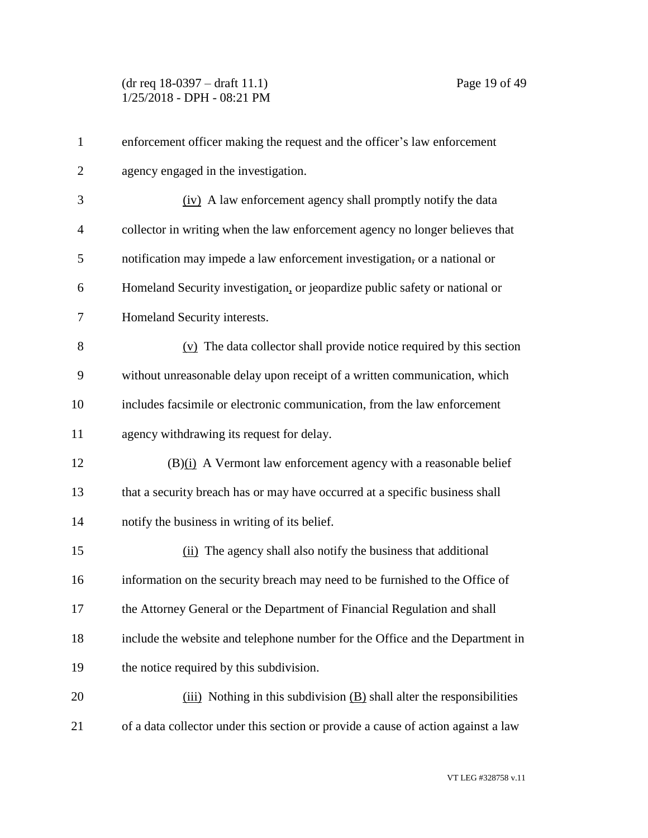| $\mathbf{1}$   | enforcement officer making the request and the officer's law enforcement          |
|----------------|-----------------------------------------------------------------------------------|
| $\overline{2}$ | agency engaged in the investigation.                                              |
| 3              | (iv) A law enforcement agency shall promptly notify the data                      |
| $\overline{4}$ | collector in writing when the law enforcement agency no longer believes that      |
| 5              | notification may impede a law enforcement investigation, or a national or         |
| 6              | Homeland Security investigation, or jeopardize public safety or national or       |
| 7              | Homeland Security interests.                                                      |
| 8              | (v) The data collector shall provide notice required by this section              |
| 9              | without unreasonable delay upon receipt of a written communication, which         |
| 10             | includes facsimile or electronic communication, from the law enforcement          |
| 11             | agency withdrawing its request for delay.                                         |
| 12             | $(B)(i)$ A Vermont law enforcement agency with a reasonable belief                |
| 13             | that a security breach has or may have occurred at a specific business shall      |
| 14             | notify the business in writing of its belief.                                     |
| 15             | (ii) The agency shall also notify the business that additional                    |
| 16             | information on the security breach may need to be furnished to the Office of      |
| 17             | the Attorney General or the Department of Financial Regulation and shall          |
| 18             | include the website and telephone number for the Office and the Department in     |
| 19             | the notice required by this subdivision.                                          |
| 20             | $(iii)$ Nothing in this subdivision $(B)$ shall alter the responsibilities        |
| 21             | of a data collector under this section or provide a cause of action against a law |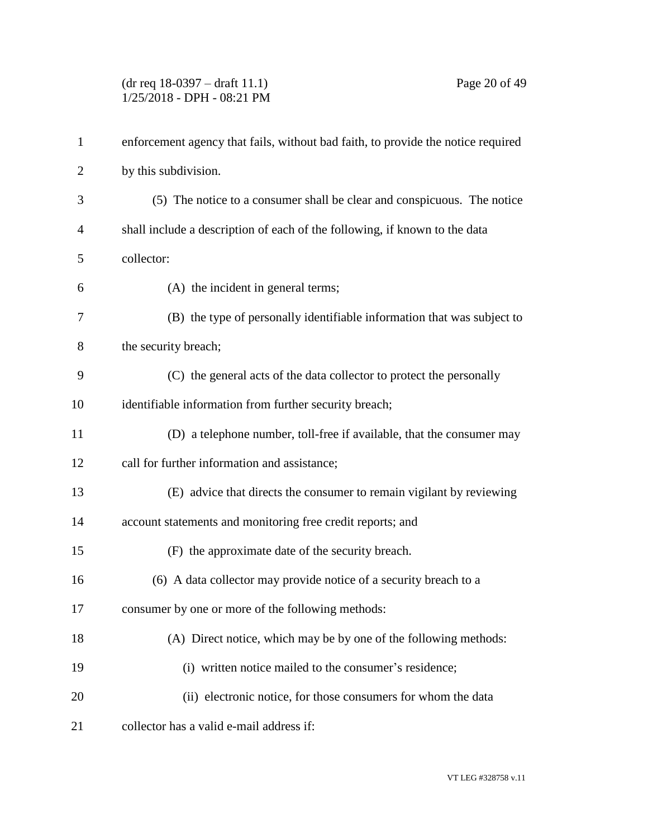(dr req 18-0397 – draft 11.1) Page 20 of 49 1/25/2018 - DPH - 08:21 PM

| $\mathbf{1}$   | enforcement agency that fails, without bad faith, to provide the notice required |
|----------------|----------------------------------------------------------------------------------|
| $\overline{2}$ | by this subdivision.                                                             |
| 3              | (5) The notice to a consumer shall be clear and conspicuous. The notice          |
| $\overline{4}$ | shall include a description of each of the following, if known to the data       |
| 5              | collector:                                                                       |
| 6              | (A) the incident in general terms;                                               |
| 7              | (B) the type of personally identifiable information that was subject to          |
| 8              | the security breach;                                                             |
| 9              | (C) the general acts of the data collector to protect the personally             |
| 10             | identifiable information from further security breach;                           |
| 11             | (D) a telephone number, toll-free if available, that the consumer may            |
| 12             | call for further information and assistance;                                     |
| 13             | (E) advice that directs the consumer to remain vigilant by reviewing             |
| 14             | account statements and monitoring free credit reports; and                       |
| 15             | (F) the approximate date of the security breach.                                 |
| 16             | (6) A data collector may provide notice of a security breach to a                |
| 17             | consumer by one or more of the following methods:                                |
| 18             | (A) Direct notice, which may be by one of the following methods:                 |
| 19             | (i) written notice mailed to the consumer's residence;                           |
| 20             | (ii) electronic notice, for those consumers for whom the data                    |
| 21             | collector has a valid e-mail address if:                                         |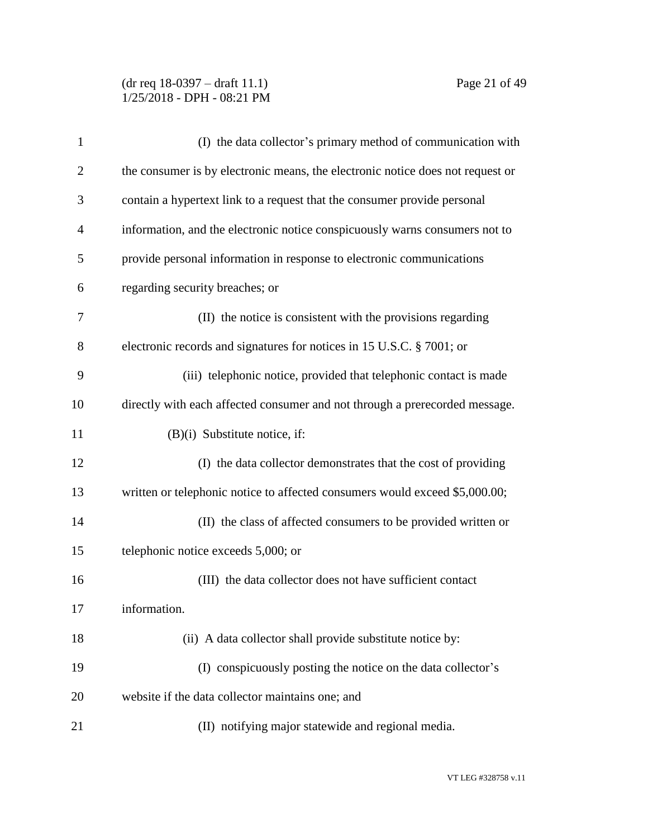## (dr req 18-0397 – draft 11.1) Page 21 of 49 1/25/2018 - DPH - 08:21 PM

| $\mathbf{1}$   | (I) the data collector's primary method of communication with                  |
|----------------|--------------------------------------------------------------------------------|
| $\overline{2}$ | the consumer is by electronic means, the electronic notice does not request or |
| 3              | contain a hypertext link to a request that the consumer provide personal       |
| $\overline{4}$ | information, and the electronic notice conspicuously warns consumers not to    |
| 5              | provide personal information in response to electronic communications          |
| 6              | regarding security breaches; or                                                |
| 7              | (II) the notice is consistent with the provisions regarding                    |
| 8              | electronic records and signatures for notices in 15 U.S.C. § 7001; or          |
| 9              | (iii) telephonic notice, provided that telephonic contact is made              |
| 10             | directly with each affected consumer and not through a prerecorded message.    |
| 11             | (B)(i) Substitute notice, if:                                                  |
| 12             | (I) the data collector demonstrates that the cost of providing                 |
| 13             | written or telephonic notice to affected consumers would exceed \$5,000.00;    |
| 14             | (II) the class of affected consumers to be provided written or                 |
| 15             | telephonic notice exceeds 5,000; or                                            |
| 16             | (III) the data collector does not have sufficient contact                      |
| 17             | information.                                                                   |
| 18             | (ii) A data collector shall provide substitute notice by:                      |
| 19             | (I) conspicuously posting the notice on the data collector's                   |
| 20             | website if the data collector maintains one; and                               |
| 21             | (II) notifying major statewide and regional media.                             |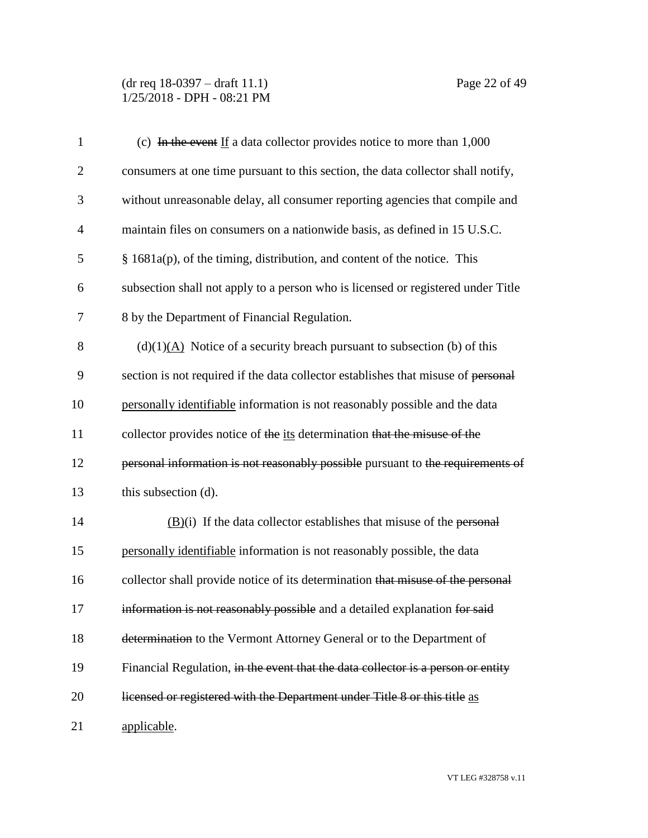(dr req 18-0397 – draft 11.1) Page 22 of 49 1/25/2018 - DPH - 08:21 PM

| $\mathbf{1}$   | (c) In the event If a data collector provides notice to more than $1,000$           |
|----------------|-------------------------------------------------------------------------------------|
| $\mathbf{2}$   | consumers at one time pursuant to this section, the data collector shall notify,    |
| 3              | without unreasonable delay, all consumer reporting agencies that compile and        |
| $\overline{4}$ | maintain files on consumers on a nationwide basis, as defined in 15 U.S.C.          |
| 5              | $§$ 1681a(p), of the timing, distribution, and content of the notice. This          |
| 6              | subsection shall not apply to a person who is licensed or registered under Title    |
| 7              | 8 by the Department of Financial Regulation.                                        |
| 8              | $(d)(1)(A)$ Notice of a security breach pursuant to subsection (b) of this          |
| 9              | section is not required if the data collector establishes that misuse of personal   |
| 10             | personally identifiable information is not reasonably possible and the data         |
| 11             | collector provides notice of the its determination that the misuse of the           |
| 12             | personal information is not reasonably possible pursuant to the requirements of     |
| 13             | this subsection (d).                                                                |
| 14             | $\underline{(B)}$ (i) If the data collector establishes that misuse of the personal |
| 15             | personally identifiable information is not reasonably possible, the data            |
| 16             | collector shall provide notice of its determination that misuse of the personal     |
| 17             | information is not reasonably possible and a detailed explanation for said          |
| 18             | determination to the Vermont Attorney General or to the Department of               |
| 19             | Financial Regulation, in the event that the data collector is a person or entity    |
| 20             | licensed or registered with the Department under Title 8 or this title as           |
| 21             | applicable.                                                                         |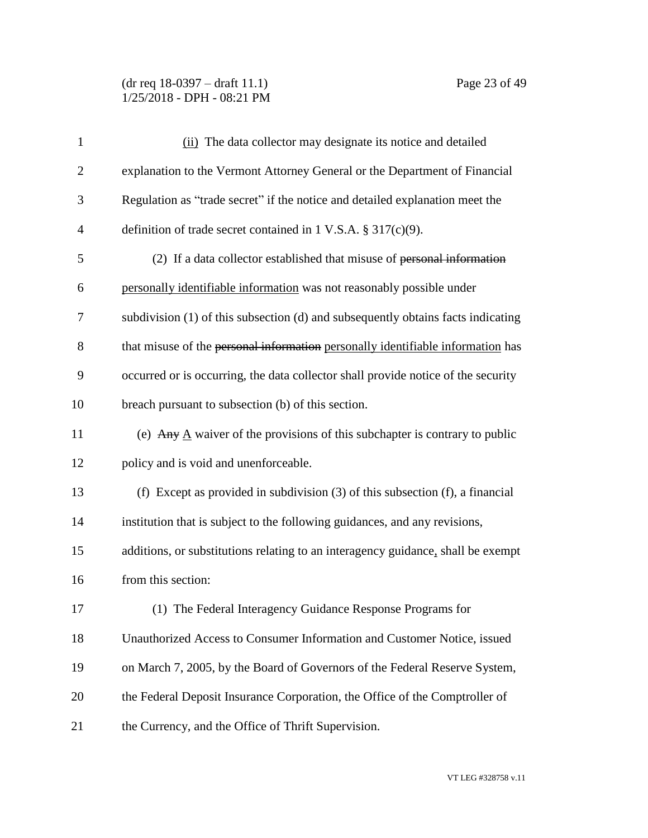(dr req 18-0397 – draft 11.1) Page 23 of 49 1/25/2018 - DPH - 08:21 PM

| $\mathbf{1}$   | (ii) The data collector may designate its notice and detailed                             |
|----------------|-------------------------------------------------------------------------------------------|
| 2              | explanation to the Vermont Attorney General or the Department of Financial                |
| 3              | Regulation as "trade secret" if the notice and detailed explanation meet the              |
| $\overline{4}$ | definition of trade secret contained in 1 V.S.A. $\S 317(c)(9)$ .                         |
| 5              | (2) If a data collector established that misuse of personal information                   |
| 6              | personally identifiable information was not reasonably possible under                     |
| 7              | subdivision (1) of this subsection (d) and subsequently obtains facts indicating          |
| 8              | that misuse of the personal information personally identifiable information has           |
| 9              | occurred or is occurring, the data collector shall provide notice of the security         |
| 10             | breach pursuant to subsection (b) of this section.                                        |
| 11             | (e) Any $\underline{A}$ waiver of the provisions of this subchapter is contrary to public |
| 12             | policy and is void and unenforceable.                                                     |
| 13             | (f) Except as provided in subdivision $(3)$ of this subsection $(f)$ , a financial        |
| 14             | institution that is subject to the following guidances, and any revisions,                |
| 15             | additions, or substitutions relating to an interagency guidance, shall be exempt          |
| 16             | from this section:                                                                        |
| 17             | (1) The Federal Interagency Guidance Response Programs for                                |
| 18             | Unauthorized Access to Consumer Information and Customer Notice, issued                   |
| 19             | on March 7, 2005, by the Board of Governors of the Federal Reserve System,                |
| 20             | the Federal Deposit Insurance Corporation, the Office of the Comptroller of               |
| 21             | the Currency, and the Office of Thrift Supervision.                                       |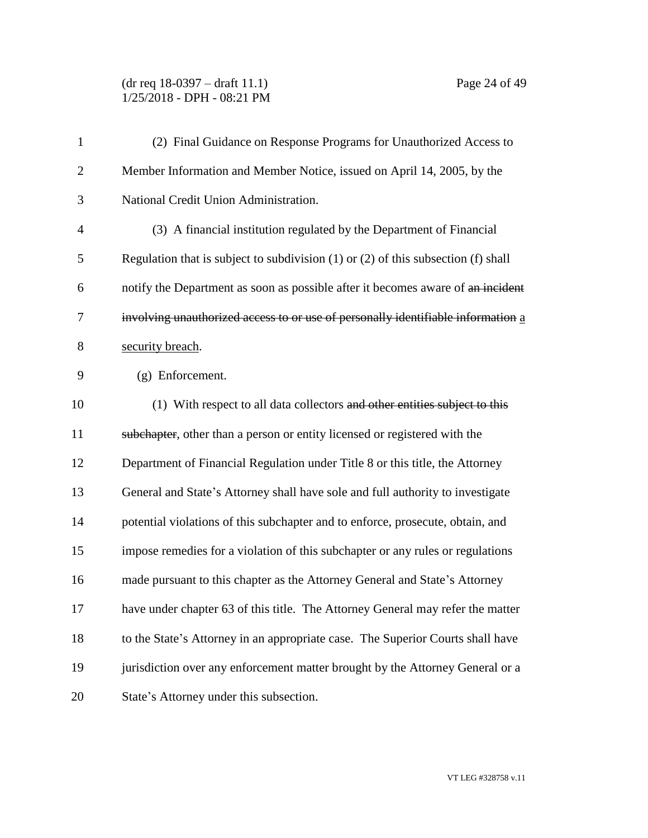(dr req 18-0397 – draft 11.1) Page 24 of 49 1/25/2018 - DPH - 08:21 PM

| $\mathbf{1}$   | (2) Final Guidance on Response Programs for Unauthorized Access to                      |
|----------------|-----------------------------------------------------------------------------------------|
| $\overline{2}$ | Member Information and Member Notice, issued on April 14, 2005, by the                  |
| 3              | National Credit Union Administration.                                                   |
| $\overline{4}$ | (3) A financial institution regulated by the Department of Financial                    |
| 5              | Regulation that is subject to subdivision $(1)$ or $(2)$ of this subsection $(f)$ shall |
| 6              | notify the Department as soon as possible after it becomes aware of an incident         |
| 7              | involving unauthorized access to or use of personally identifiable information a        |
| 8              | security breach.                                                                        |
| 9              | (g) Enforcement.                                                                        |
| 10             | (1) With respect to all data collectors and other entities subject to this              |
| 11             | subchapter, other than a person or entity licensed or registered with the               |
| 12             | Department of Financial Regulation under Title 8 or this title, the Attorney            |
| 13             | General and State's Attorney shall have sole and full authority to investigate          |
| 14             | potential violations of this subchapter and to enforce, prosecute, obtain, and          |
| 15             | impose remedies for a violation of this subchapter or any rules or regulations          |
| 16             | made pursuant to this chapter as the Attorney General and State's Attorney              |
| 17             | have under chapter 63 of this title. The Attorney General may refer the matter          |
| 18             | to the State's Attorney in an appropriate case. The Superior Courts shall have          |
| 19             | jurisdiction over any enforcement matter brought by the Attorney General or a           |
| 20             | State's Attorney under this subsection.                                                 |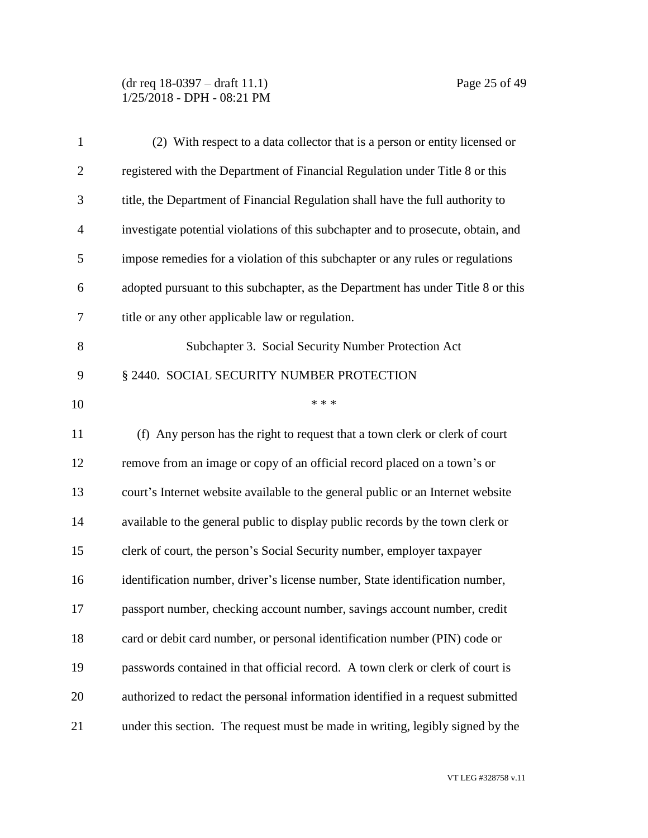(dr req 18-0397 – draft 11.1) Page 25 of 49 1/25/2018 - DPH - 08:21 PM

| $\mathbf{1}$   | (2) With respect to a data collector that is a person or entity licensed or       |
|----------------|-----------------------------------------------------------------------------------|
| $\overline{2}$ | registered with the Department of Financial Regulation under Title 8 or this      |
| 3              | title, the Department of Financial Regulation shall have the full authority to    |
| $\overline{4}$ | investigate potential violations of this subchapter and to prosecute, obtain, and |
| 5              | impose remedies for a violation of this subchapter or any rules or regulations    |
| 6              | adopted pursuant to this subchapter, as the Department has under Title 8 or this  |
| 7              | title or any other applicable law or regulation.                                  |
| 8              | Subchapter 3. Social Security Number Protection Act                               |
| 9              | § 2440. SOCIAL SECURITY NUMBER PROTECTION                                         |
| 10             | * * *                                                                             |
| 11             | (f) Any person has the right to request that a town clerk or clerk of court       |
| 12             | remove from an image or copy of an official record placed on a town's or          |
| 13             | court's Internet website available to the general public or an Internet website   |
| 14             | available to the general public to display public records by the town clerk or    |
| 15             | clerk of court, the person's Social Security number, employer taxpayer            |
| 16             | identification number, driver's license number, State identification number,      |
| 17             | passport number, checking account number, savings account number, credit          |
| 18             | card or debit card number, or personal identification number (PIN) code or        |
| 19             | passwords contained in that official record. A town clerk or clerk of court is    |
| 20             | authorized to redact the personal information identified in a request submitted   |
| 21             | under this section. The request must be made in writing, legibly signed by the    |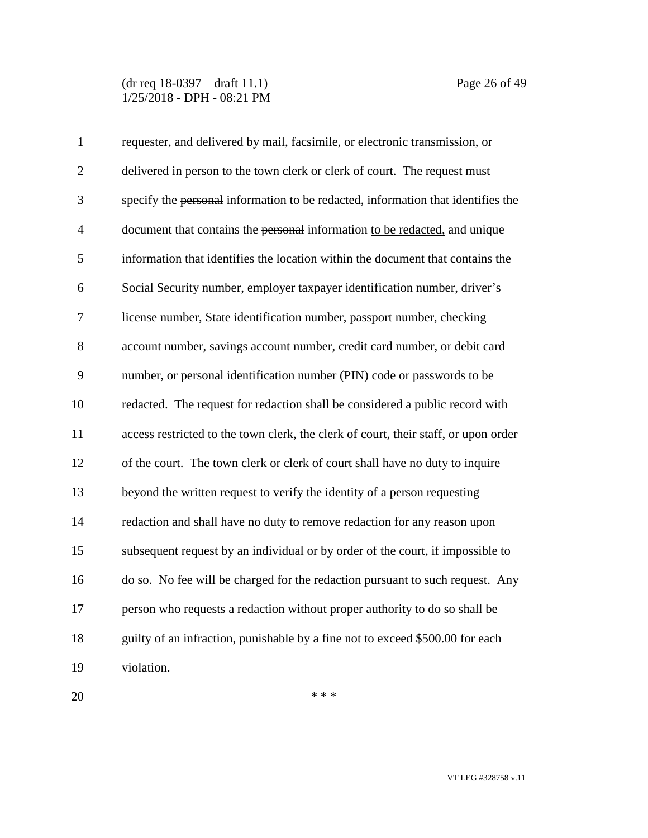(dr req 18-0397 – draft 11.1) Page 26 of 49 1/25/2018 - DPH - 08:21 PM

| $\mathbf{1}$   | requester, and delivered by mail, facsimile, or electronic transmission, or         |
|----------------|-------------------------------------------------------------------------------------|
| $\overline{2}$ | delivered in person to the town clerk or clerk of court. The request must           |
| 3              | specify the personal information to be redacted, information that identifies the    |
| $\overline{4}$ | document that contains the personal information to be redacted, and unique          |
| 5              | information that identifies the location within the document that contains the      |
| 6              | Social Security number, employer taxpayer identification number, driver's           |
| 7              | license number, State identification number, passport number, checking              |
| 8              | account number, savings account number, credit card number, or debit card           |
| 9              | number, or personal identification number (PIN) code or passwords to be             |
| 10             | redacted. The request for redaction shall be considered a public record with        |
| 11             | access restricted to the town clerk, the clerk of court, their staff, or upon order |
| 12             | of the court. The town clerk or clerk of court shall have no duty to inquire        |
| 13             | beyond the written request to verify the identity of a person requesting            |
| 14             | redaction and shall have no duty to remove redaction for any reason upon            |
| 15             | subsequent request by an individual or by order of the court, if impossible to      |
| 16             | do so. No fee will be charged for the redaction pursuant to such request. Any       |
| 17             | person who requests a redaction without proper authority to do so shall be          |
| 18             | guilty of an infraction, punishable by a fine not to exceed \$500.00 for each       |
| 19             | violation.                                                                          |

 $***$ 

VT LEG #328758 v.11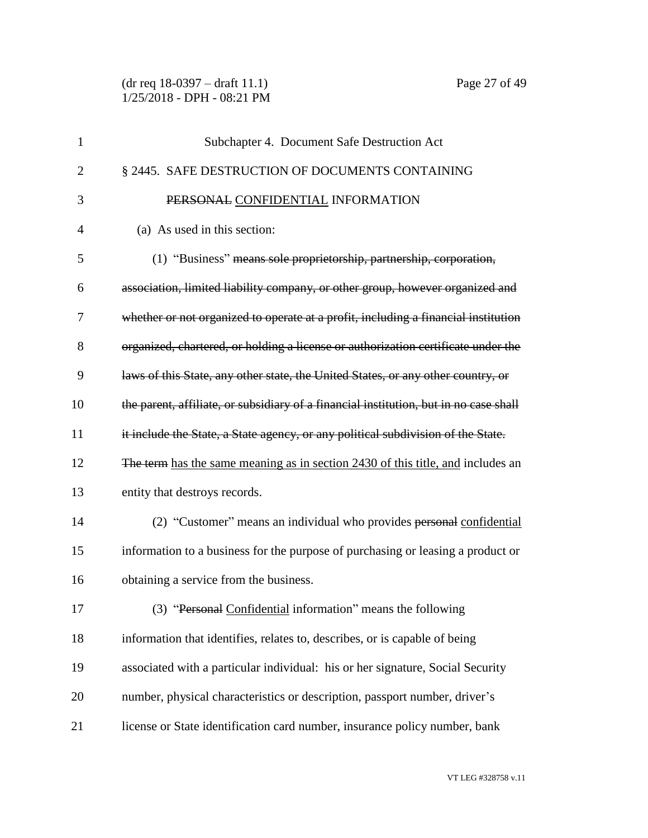(dr req 18-0397 – draft 11.1) Page 27 of 49 1/25/2018 - DPH - 08:21 PM

| $\mathbf{1}$   | Subchapter 4. Document Safe Destruction Act                                           |
|----------------|---------------------------------------------------------------------------------------|
| $\overline{2}$ | § 2445. SAFE DESTRUCTION OF DOCUMENTS CONTAINING                                      |
| 3              | PERSONAL CONFIDENTIAL INFORMATION                                                     |
| 4              | (a) As used in this section:                                                          |
| 5              | (1) "Business" means sole proprietorship, partnership, corporation,                   |
| 6              | association, limited liability company, or other group, however organized and         |
| 7              | whether or not organized to operate at a profit, including a financial institution    |
| 8              | organized, chartered, or holding a license or authorization certificate under the     |
| 9              | laws of this State, any other state, the United States, or any other country, or      |
| 10             | the parent, affiliate, or subsidiary of a financial institution, but in no case shall |
| 11             | it include the State, a State agency, or any political subdivision of the State.      |
| 12             | The term has the same meaning as in section 2430 of this title, and includes an       |
| 13             | entity that destroys records.                                                         |
| 14             | (2) "Customer" means an individual who provides personal confidential                 |
| 15             | information to a business for the purpose of purchasing or leasing a product or       |
| 16             | obtaining a service from the business.                                                |
| 17             | (3) "Personal Confidential information" means the following                           |
| 18             | information that identifies, relates to, describes, or is capable of being            |
| 19             | associated with a particular individual: his or her signature, Social Security        |
| 20             | number, physical characteristics or description, passport number, driver's            |
| 21             | license or State identification card number, insurance policy number, bank            |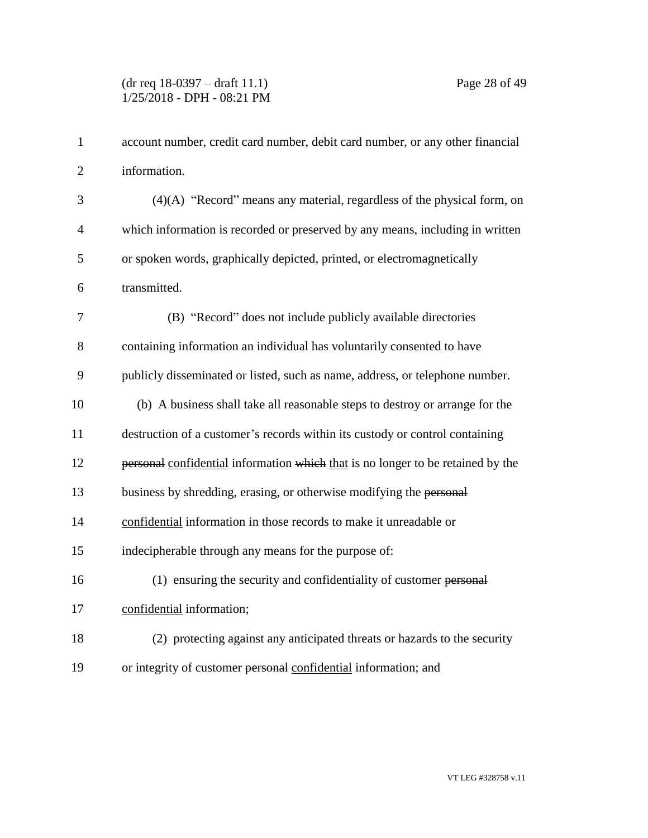| $\mathbf{1}$   | account number, credit card number, debit card number, or any other financial   |
|----------------|---------------------------------------------------------------------------------|
| $\overline{2}$ | information.                                                                    |
| 3              | $(4)(A)$ "Record" means any material, regardless of the physical form, on       |
| $\overline{4}$ | which information is recorded or preserved by any means, including in written   |
| 5              | or spoken words, graphically depicted, printed, or electromagnetically          |
| 6              | transmitted.                                                                    |
| $\overline{7}$ | (B) "Record" does not include publicly available directories                    |
| 8              | containing information an individual has voluntarily consented to have          |
| 9              | publicly disseminated or listed, such as name, address, or telephone number.    |
| 10             | (b) A business shall take all reasonable steps to destroy or arrange for the    |
| 11             | destruction of a customer's records within its custody or control containing    |
| 12             | personal confidential information which that is no longer to be retained by the |
| 13             | business by shredding, erasing, or otherwise modifying the personal             |
| 14             | confidential information in those records to make it unreadable or              |
| 15             | indecipherable through any means for the purpose of:                            |
| 16             | (1) ensuring the security and confidentiality of customer personal              |
| 17             | confidential information;                                                       |
| 18             | (2) protecting against any anticipated threats or hazards to the security       |
| 19             | or integrity of customer personal confidential information; and                 |
|                |                                                                                 |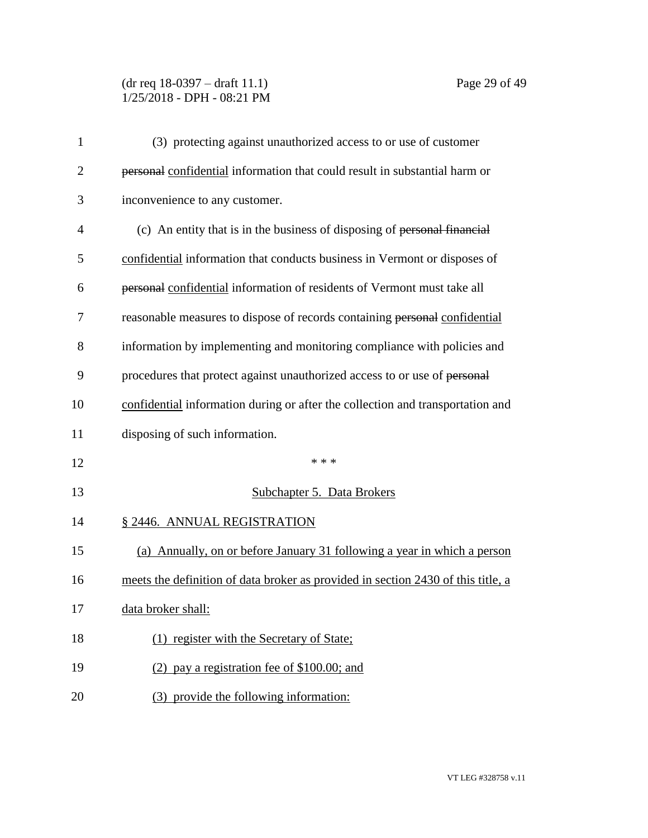# (dr req 18-0397 – draft 11.1) Page 29 of 49 1/25/2018 - DPH - 08:21 PM

| $\mathbf{1}$   | (3) protecting against unauthorized access to or use of customer                 |
|----------------|----------------------------------------------------------------------------------|
| $\overline{2}$ | personal confidential information that could result in substantial harm or       |
| 3              | inconvenience to any customer.                                                   |
| 4              | (c) An entity that is in the business of disposing of personal financial         |
| 5              | confidential information that conducts business in Vermont or disposes of        |
| 6              | personal confidential information of residents of Vermont must take all          |
| 7              | reasonable measures to dispose of records containing personal confidential       |
| 8              | information by implementing and monitoring compliance with policies and          |
| 9              | procedures that protect against unauthorized access to or use of personal        |
| 10             | confidential information during or after the collection and transportation and   |
| 11             | disposing of such information.                                                   |
| 12             | * * *                                                                            |
| 13             | Subchapter 5. Data Brokers                                                       |
| 14             | § 2446. ANNUAL REGISTRATION                                                      |
| 15             | (a) Annually, on or before January 31 following a year in which a person         |
| 16             | meets the definition of data broker as provided in section 2430 of this title, a |
| 17             | data broker shall:                                                               |
| 18             | (1) register with the Secretary of State;                                        |
| 19             | (2) pay a registration fee of $$100.00$ ; and                                    |
| 20             | (3) provide the following information:                                           |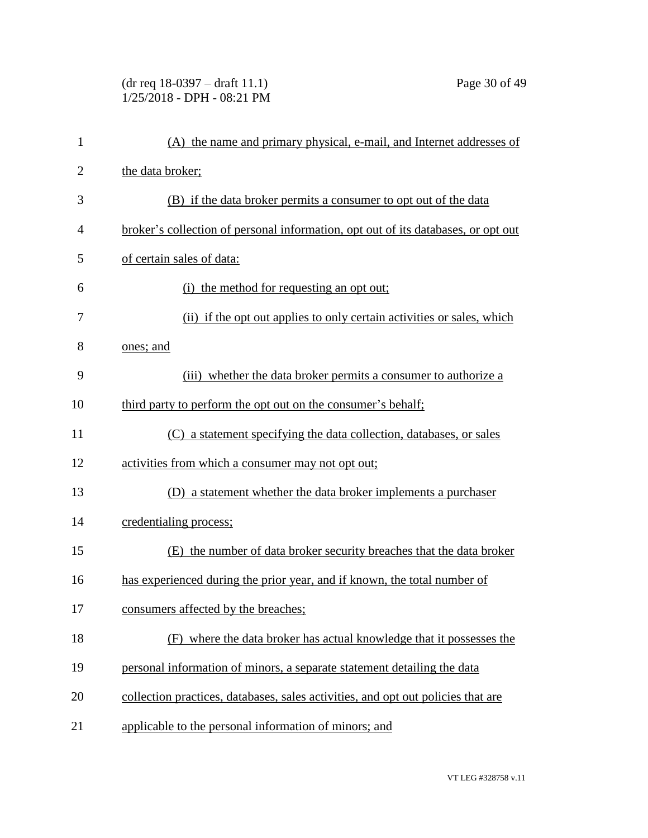(dr req 18-0397 – draft 11.1) Page 30 of 49 1/25/2018 - DPH - 08:21 PM

| $\mathbf{1}$   | (A) the name and primary physical, e-mail, and Internet addresses of              |
|----------------|-----------------------------------------------------------------------------------|
| $\overline{2}$ | the data broker;                                                                  |
| 3              | (B) if the data broker permits a consumer to opt out of the data                  |
| $\overline{4}$ | broker's collection of personal information, opt out of its databases, or opt out |
| 5              | of certain sales of data:                                                         |
| 6              | (i) the method for requesting an opt out;                                         |
| 7              | (ii) if the opt out applies to only certain activities or sales, which            |
| 8              | ones; and                                                                         |
| 9              | (iii) whether the data broker permits a consumer to authorize a                   |
| 10             | third party to perform the opt out on the consumer's behalf;                      |
| 11             | (C) a statement specifying the data collection, databases, or sales               |
| 12             | activities from which a consumer may not opt out;                                 |
| 13             | a statement whether the data broker implements a purchaser<br>(D)                 |
| 14             | credentialing process;                                                            |
| 15             | (E) the number of data broker security breaches that the data broker              |
| 16             | has experienced during the prior year, and if known, the total number of          |
| 17             | consumers affected by the breaches;                                               |
| 18             | where the data broker has actual knowledge that it possesses the<br>(F)           |
| 19             | personal information of minors, a separate statement detailing the data           |
| 20             | collection practices, databases, sales activities, and opt out policies that are  |
| 21             | applicable to the personal information of minors; and                             |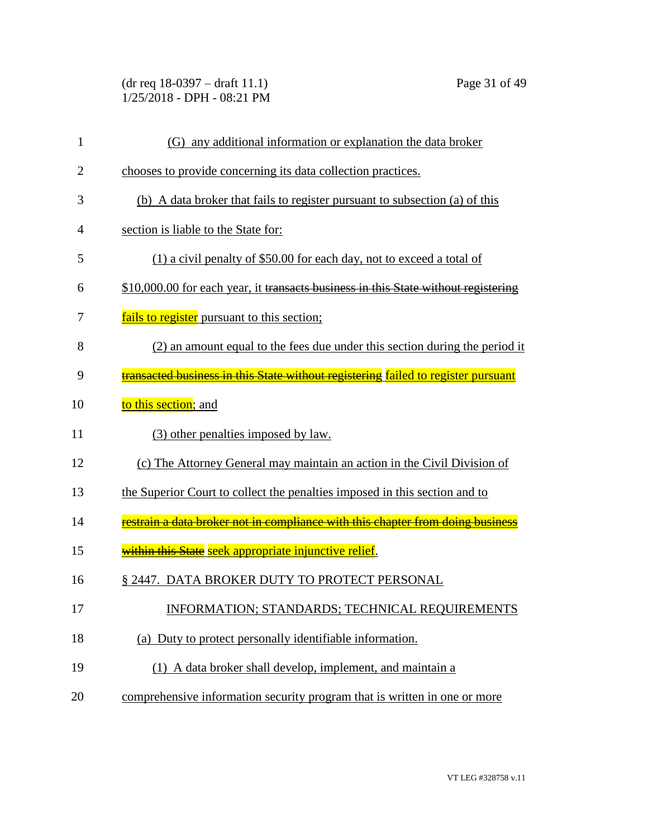(dr req 18-0397 – draft 11.1) Page 31 of 49 1/25/2018 - DPH - 08:21 PM

| 1              | (G) any additional information or explanation the data broker                      |
|----------------|------------------------------------------------------------------------------------|
| $\overline{2}$ | chooses to provide concerning its data collection practices.                       |
| 3              | (b) A data broker that fails to register pursuant to subsection (a) of this        |
| 4              | section is liable to the State for:                                                |
| 5              | $(1)$ a civil penalty of \$50.00 for each day, not to exceed a total of            |
| 6              | \$10,000.00 for each year, it transacts business in this State without registering |
| 7              | <u>fails to register</u> pursuant to this section;                                 |
| 8              | (2) an amount equal to the fees due under this section during the period it        |
| 9              | transacted business in this State without registering failed to register pursuant  |
| 10             | to this section; and                                                               |
| 11             | (3) other penalties imposed by law.                                                |
| 12             | (c) The Attorney General may maintain an action in the Civil Division of           |
| 13             | the Superior Court to collect the penalties imposed in this section and to         |
| 14             | restrain a data broker not in compliance with this chapter from doing business     |
| 15             | within this State seek appropriate injunctive relief.                              |
| 16             | § 2447. DATA BROKER DUTY TO PROTECT PERSONAL                                       |
| 17             | INFORMATION; STANDARDS; TECHNICAL REQUIREMENTS                                     |
| 18             | (a) Duty to protect personally identifiable information.                           |
| 19             | (1) A data broker shall develop, implement, and maintain a                         |
|                |                                                                                    |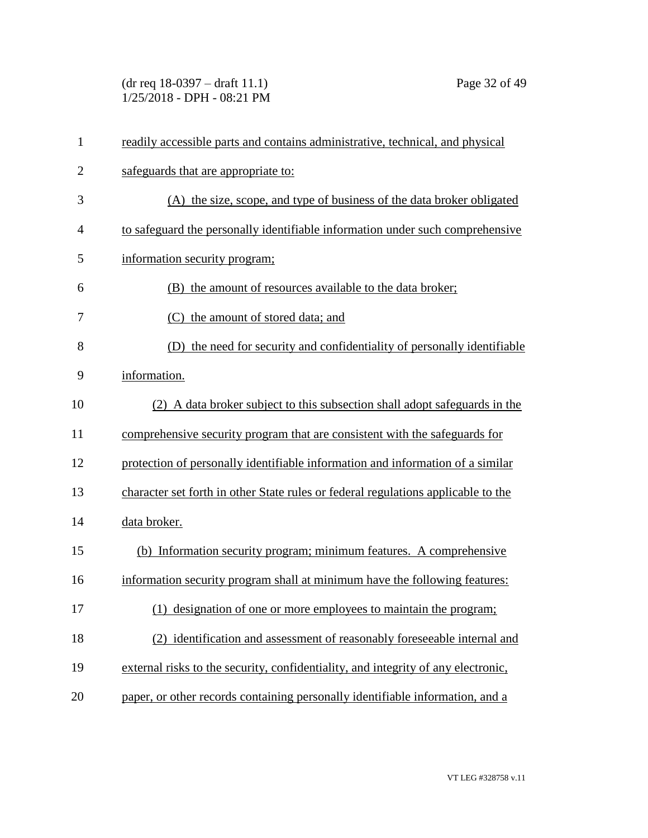(dr req 18-0397 – draft 11.1) Page 32 of 49 1/25/2018 - DPH - 08:21 PM

| 1              | readily accessible parts and contains administrative, technical, and physical     |
|----------------|-----------------------------------------------------------------------------------|
| $\overline{2}$ | safeguards that are appropriate to:                                               |
| 3              | (A) the size, scope, and type of business of the data broker obligated            |
| $\overline{4}$ | to safeguard the personally identifiable information under such comprehensive     |
| 5              | information security program;                                                     |
| 6              | the amount of resources available to the data broker;<br>(B)                      |
| 7              | the amount of stored data; and<br>(C)                                             |
| 8              | the need for security and confidentiality of personally identifiable<br>(D)       |
| 9              | information.                                                                      |
| 10             | (2) A data broker subject to this subsection shall adopt safeguards in the        |
| 11             | comprehensive security program that are consistent with the safeguards for        |
| 12             | protection of personally identifiable information and information of a similar    |
| 13             | character set forth in other State rules or federal regulations applicable to the |
| 14             | data broker.                                                                      |
| 15             | (b) Information security program; minimum features. A comprehensive               |
| 16             | information security program shall at minimum have the following features:        |
| 17             | (1) designation of one or more employees to maintain the program;                 |
| 18             | (2) identification and assessment of reasonably foreseeable internal and          |
| 19             | external risks to the security, confidentiality, and integrity of any electronic, |
| 20             | paper, or other records containing personally identifiable information, and a     |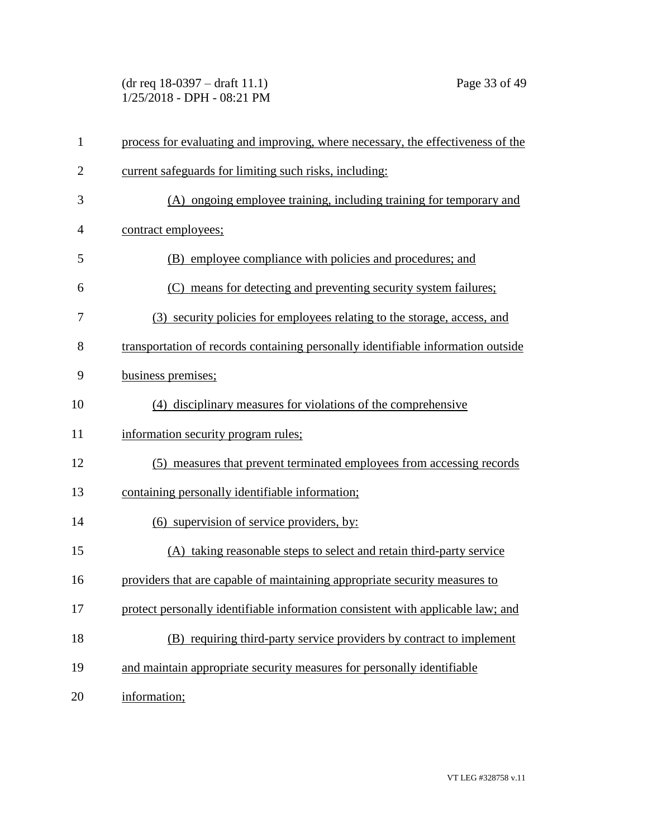(dr req 18-0397 – draft 11.1) Page 33 of 49 1/25/2018 - DPH - 08:21 PM

| $\mathbf{1}$   | process for evaluating and improving, where necessary, the effectiveness of the  |
|----------------|----------------------------------------------------------------------------------|
| $\overline{2}$ | current safeguards for limiting such risks, including:                           |
| 3              | (A) ongoing employee training, including training for temporary and              |
| $\overline{4}$ | contract employees;                                                              |
| 5              | (B) employee compliance with policies and procedures; and                        |
| 6              | means for detecting and preventing security system failures;<br>(C)              |
| 7              | (3) security policies for employees relating to the storage, access, and         |
| 8              | transportation of records containing personally identifiable information outside |
| 9              | business premises;                                                               |
| 10             | (4) disciplinary measures for violations of the comprehensive                    |
| 11             | information security program rules;                                              |
| 12             | (5) measures that prevent terminated employees from accessing records            |
| 13             | containing personally identifiable information;                                  |
| 14             | (6) supervision of service providers, by:                                        |
| 15             | (A) taking reasonable steps to select and retain third-party service             |
| 16             | providers that are capable of maintaining appropriate security measures to       |
| 17             | protect personally identifiable information consistent with applicable law; and  |
| 18             | (B) requiring third-party service providers by contract to implement             |
| 19             | and maintain appropriate security measures for personally identifiable           |
| 20             | information;                                                                     |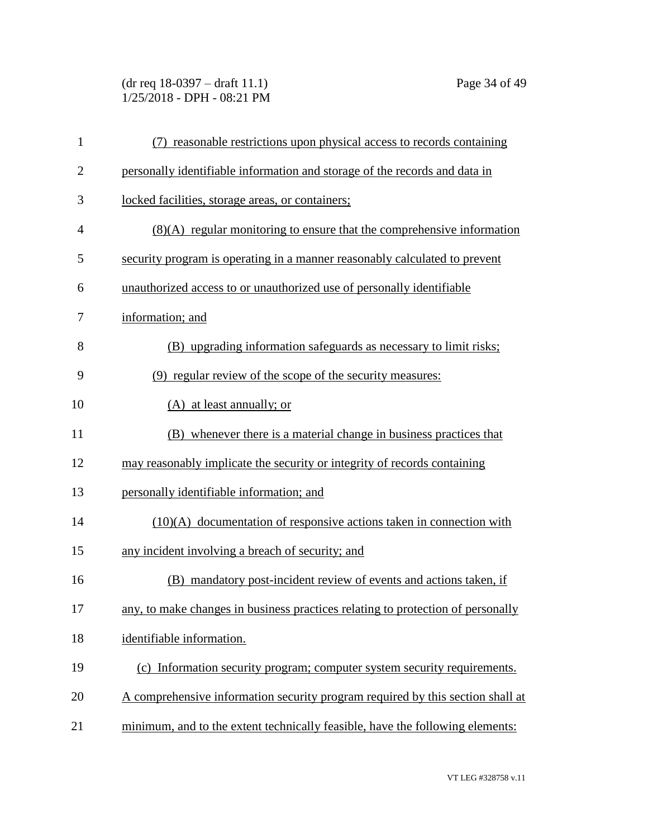(dr req 18-0397 – draft 11.1) Page 34 of 49 1/25/2018 - DPH - 08:21 PM

| $\mathbf{1}$   | (7) reasonable restrictions upon physical access to records containing          |
|----------------|---------------------------------------------------------------------------------|
| $\overline{2}$ | personally identifiable information and storage of the records and data in      |
| 3              | locked facilities, storage areas, or containers;                                |
| $\overline{4}$ | $(8)(A)$ regular monitoring to ensure that the comprehensive information        |
| 5              | security program is operating in a manner reasonably calculated to prevent      |
| 6              | unauthorized access to or unauthorized use of personally identifiable           |
| 7              | information; and                                                                |
| 8              | (B) upgrading information safeguards as necessary to limit risks;               |
| 9              | (9) regular review of the scope of the security measures:                       |
| 10             | (A) at least annually; or                                                       |
| 11             | (B) whenever there is a material change in business practices that              |
| 12             | may reasonably implicate the security or integrity of records containing        |
| 13             | personally identifiable information; and                                        |
| 14             | $(10)(A)$ documentation of responsive actions taken in connection with          |
| 15             | any incident involving a breach of security; and                                |
| 16             | (B) mandatory post-incident review of events and actions taken, if              |
| 17             | any, to make changes in business practices relating to protection of personally |
| 18             | identifiable information.                                                       |
| 19             | (c) Information security program; computer system security requirements.        |
| 20             | A comprehensive information security program required by this section shall at  |
| 21             | minimum, and to the extent technically feasible, have the following elements:   |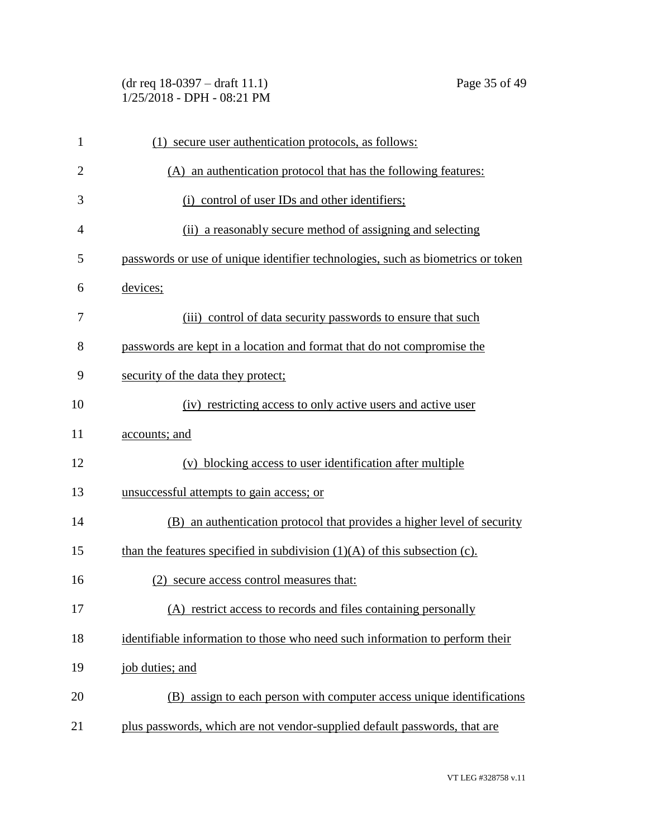| $(dr \text{ req } 18-0397 - draft 11.1)$ |  |
|------------------------------------------|--|
| $1/25/2018$ - DPH - 08:21 PM             |  |

| $\mathbf{1}$   | (1) secure user authentication protocols, as follows:                           |
|----------------|---------------------------------------------------------------------------------|
| $\overline{2}$ | (A) an authentication protocol that has the following features:                 |
| 3              | (i) control of user IDs and other identifiers;                                  |
| 4              | (ii) a reasonably secure method of assigning and selecting                      |
| 5              | passwords or use of unique identifier technologies, such as biometrics or token |
| 6              | devices;                                                                        |
| 7              | (iii) control of data security passwords to ensure that such                    |
| 8              | passwords are kept in a location and format that do not compromise the          |
| 9              | security of the data they protect;                                              |
| 10             | (iv) restricting access to only active users and active user                    |
| 11             | accounts; and                                                                   |
| 12             | blocking access to user identification after multiple<br>(v)                    |
| 13             | unsuccessful attempts to gain access; or                                        |
| 14             | (B) an authentication protocol that provides a higher level of security         |
| 15             | than the features specified in subdivision $(1)(A)$ of this subsection (c).     |
| 16             | (2) secure access control measures that:                                        |
| 17             | (A) restrict access to records and files containing personally                  |
| 18             | identifiable information to those who need such information to perform their    |
| 19             | job duties; and                                                                 |
| 20             | (B) assign to each person with computer access unique identifications           |
|                |                                                                                 |

plus passwords, which are not vendor-supplied default passwords, that are

Page 35 of 49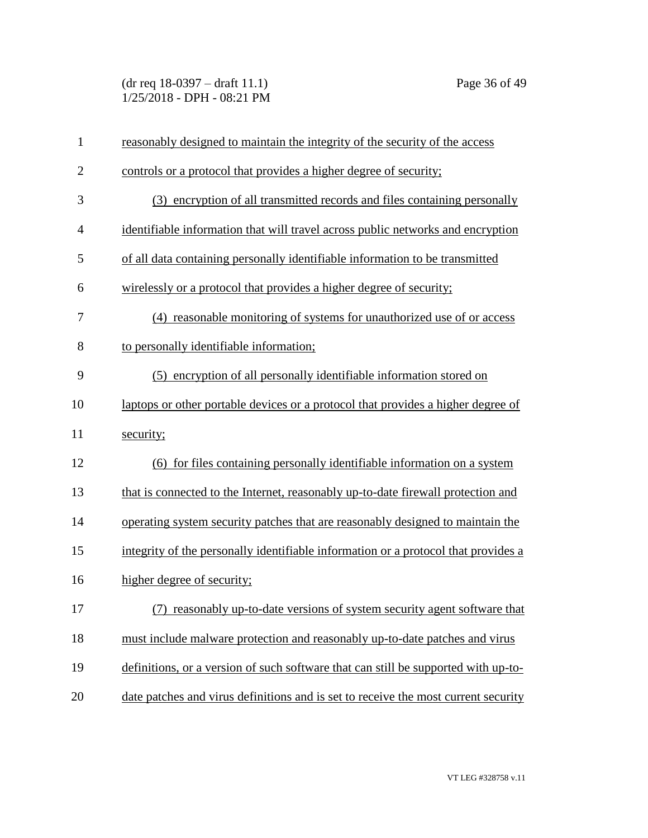(dr req 18-0397 – draft 11.1) Page 36 of 49 1/25/2018 - DPH - 08:21 PM

| 1              | reasonably designed to maintain the integrity of the security of the access        |
|----------------|------------------------------------------------------------------------------------|
| $\overline{2}$ | controls or a protocol that provides a higher degree of security;                  |
| 3              | (3) encryption of all transmitted records and files containing personally          |
| 4              | identifiable information that will travel across public networks and encryption    |
| 5              | of all data containing personally identifiable information to be transmitted       |
| 6              | wirelessly or a protocol that provides a higher degree of security;                |
| 7              | (4) reasonable monitoring of systems for unauthorized use of or access             |
| 8              | to personally identifiable information;                                            |
| 9              | (5) encryption of all personally identifiable information stored on                |
| 10             | laptops or other portable devices or a protocol that provides a higher degree of   |
| 11             | security;                                                                          |
| 12             | (6) for files containing personally identifiable information on a system           |
| 13             | that is connected to the Internet, reasonably up-to-date firewall protection and   |
| 14             | operating system security patches that are reasonably designed to maintain the     |
| 15             | integrity of the personally identifiable information or a protocol that provides a |
| 16             | higher degree of security;                                                         |
| 17             | (7) reasonably up-to-date versions of system security agent software that          |
| 18             | must include malware protection and reasonably up-to-date patches and virus        |
| 19             | definitions, or a version of such software that can still be supported with up-to- |
| 20             | date patches and virus definitions and is set to receive the most current security |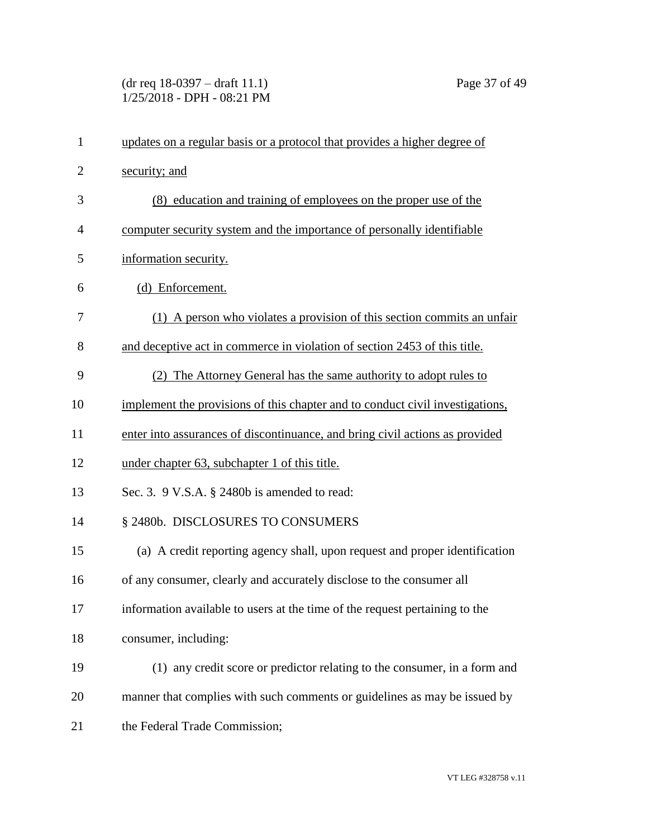(dr req 18-0397 – draft 11.1) Page 37 of 49 1/25/2018 - DPH - 08:21 PM

| $\mathbf{1}$   | updates on a regular basis or a protocol that provides a higher degree of     |
|----------------|-------------------------------------------------------------------------------|
| $\overline{2}$ | security; and                                                                 |
| 3              | (8) education and training of employees on the proper use of the              |
| 4              | computer security system and the importance of personally identifiable        |
| 5              | information security.                                                         |
| 6              | (d) Enforcement.                                                              |
| 7              | (1) A person who violates a provision of this section commits an unfair       |
| 8              | and deceptive act in commerce in violation of section 2453 of this title.     |
| 9              | (2) The Attorney General has the same authority to adopt rules to             |
| 10             | implement the provisions of this chapter and to conduct civil investigations, |
| 11             | enter into assurances of discontinuance, and bring civil actions as provided  |
| 12             | under chapter 63, subchapter 1 of this title.                                 |
| 13             | Sec. 3. 9 V.S.A. § 2480b is amended to read:                                  |
| 14             | § 2480b. DISCLOSURES TO CONSUMERS                                             |
| 15             | (a) A credit reporting agency shall, upon request and proper identification   |
| 16             | of any consumer, clearly and accurately disclose to the consumer all          |
| 17             | information available to users at the time of the request pertaining to the   |
| 18             | consumer, including:                                                          |
| 19             | (1) any credit score or predictor relating to the consumer, in a form and     |
| 20             | manner that complies with such comments or guidelines as may be issued by     |
| 21             | the Federal Trade Commission;                                                 |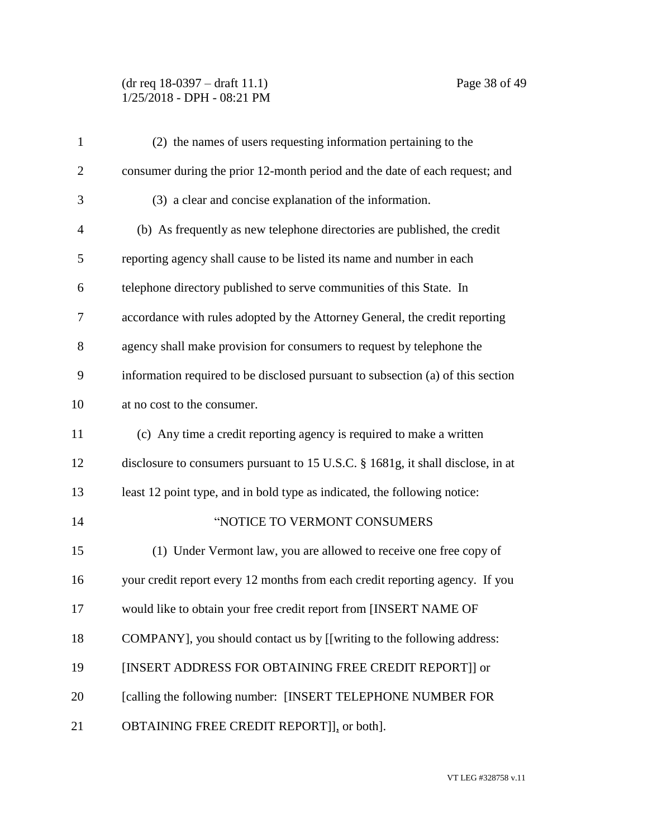## (dr req 18-0397 – draft 11.1) Page 38 of 49 1/25/2018 - DPH - 08:21 PM

| $\mathbf{1}$   | (2) the names of users requesting information pertaining to the                 |
|----------------|---------------------------------------------------------------------------------|
| $\overline{2}$ | consumer during the prior 12-month period and the date of each request; and     |
| 3              | (3) a clear and concise explanation of the information.                         |
| $\overline{4}$ | (b) As frequently as new telephone directories are published, the credit        |
| 5              | reporting agency shall cause to be listed its name and number in each           |
| 6              | telephone directory published to serve communities of this State. In            |
| 7              | accordance with rules adopted by the Attorney General, the credit reporting     |
| 8              | agency shall make provision for consumers to request by telephone the           |
| 9              | information required to be disclosed pursuant to subsection (a) of this section |
| 10             | at no cost to the consumer.                                                     |
| 11             | (c) Any time a credit reporting agency is required to make a written            |
| 12             | disclosure to consumers pursuant to 15 U.S.C. § 1681g, it shall disclose, in at |
| 13             | least 12 point type, and in bold type as indicated, the following notice:       |
| 14             | "NOTICE TO VERMONT CONSUMERS                                                    |
| 15             | (1) Under Vermont law, you are allowed to receive one free copy of              |
| 16             | your credit report every 12 months from each credit reporting agency. If you    |
| 17             | would like to obtain your free credit report from [INSERT NAME OF               |
| 18             | COMPANY], you should contact us by [[writing to the following address:          |
| 19             | [INSERT ADDRESS FOR OBTAINING FREE CREDIT REPORT]] or                           |
| 20             | [calling the following number: [INSERT TELEPHONE NUMBER FOR                     |
| 21             | OBTAINING FREE CREDIT REPORT]], or both].                                       |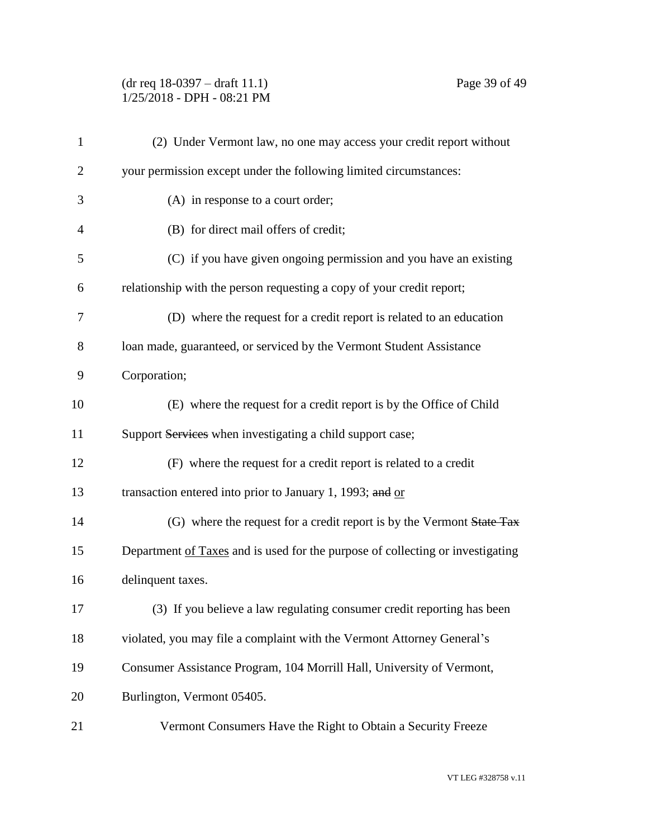(dr req 18-0397 – draft 11.1) Page 39 of 49 1/25/2018 - DPH - 08:21 PM

| $\mathbf{1}$   | (2) Under Vermont law, no one may access your credit report without            |
|----------------|--------------------------------------------------------------------------------|
| $\overline{2}$ | your permission except under the following limited circumstances:              |
| 3              | (A) in response to a court order;                                              |
| $\overline{4}$ | (B) for direct mail offers of credit;                                          |
| 5              | (C) if you have given ongoing permission and you have an existing              |
| 6              | relationship with the person requesting a copy of your credit report;          |
| 7              | (D) where the request for a credit report is related to an education           |
| 8              | loan made, guaranteed, or serviced by the Vermont Student Assistance           |
| 9              | Corporation;                                                                   |
| 10             | (E) where the request for a credit report is by the Office of Child            |
| 11             | Support Services when investigating a child support case;                      |
| 12             | (F) where the request for a credit report is related to a credit               |
| 13             | transaction entered into prior to January 1, 1993; and or                      |
| 14             | (G) where the request for a credit report is by the Vermont State Tax          |
| 15             | Department of Taxes and is used for the purpose of collecting or investigating |
| 16             | delinquent taxes.                                                              |
| 17             | (3) If you believe a law regulating consumer credit reporting has been         |
| 18             | violated, you may file a complaint with the Vermont Attorney General's         |
| 19             | Consumer Assistance Program, 104 Morrill Hall, University of Vermont,          |
| 20             | Burlington, Vermont 05405.                                                     |
| 21             | Vermont Consumers Have the Right to Obtain a Security Freeze                   |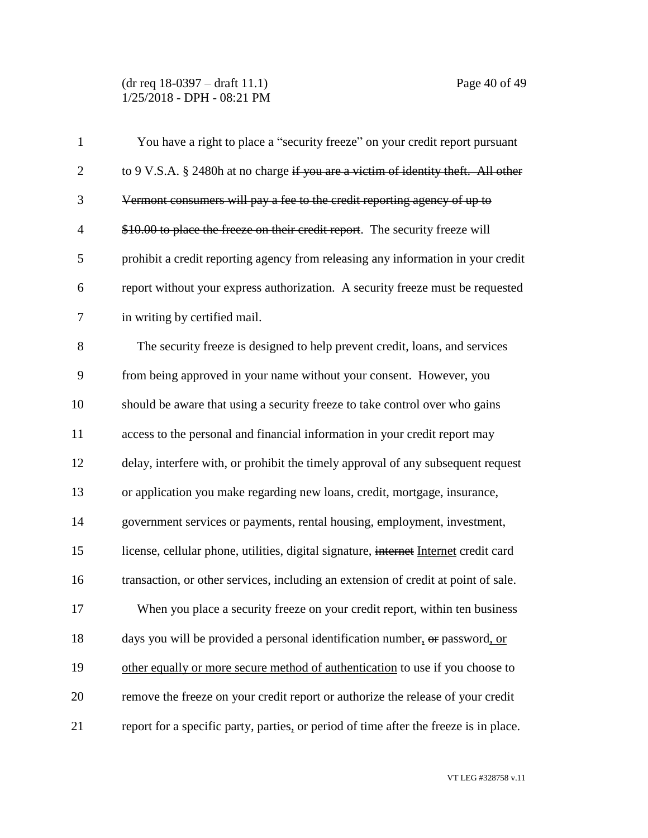(dr req 18-0397 – draft 11.1) Page 40 of 49 1/25/2018 - DPH - 08:21 PM

| $\mathbf{1}$   | You have a right to place a "security freeze" on your credit report pursuant          |
|----------------|---------------------------------------------------------------------------------------|
| $\overline{2}$ | to 9 V.S.A. § 2480h at no charge if you are a victim of identity theft. All other     |
| 3              | Vermont consumers will pay a fee to the credit reporting agency of up to              |
| $\overline{4}$ | \$10.00 to place the freeze on their credit report. The security freeze will          |
| 5              | prohibit a credit reporting agency from releasing any information in your credit      |
| 6              | report without your express authorization. A security freeze must be requested        |
| 7              | in writing by certified mail.                                                         |
| 8              | The security freeze is designed to help prevent credit, loans, and services           |
| 9              | from being approved in your name without your consent. However, you                   |
| 10             | should be aware that using a security freeze to take control over who gains           |
| 11             | access to the personal and financial information in your credit report may            |
| 12             | delay, interfere with, or prohibit the timely approval of any subsequent request      |
| 13             | or application you make regarding new loans, credit, mortgage, insurance,             |
| 14             | government services or payments, rental housing, employment, investment,              |
| 15             | license, cellular phone, utilities, digital signature, internet Internet credit card  |
| 16             | transaction, or other services, including an extension of credit at point of sale.    |
| 17             | When you place a security freeze on your credit report, within ten business           |
| 18             | days you will be provided a personal identification number, or password, or           |
| 19             | other equally or more secure method of authentication to use if you choose to         |
| 20             | remove the freeze on your credit report or authorize the release of your credit       |
| 21             | report for a specific party, parties, or period of time after the freeze is in place. |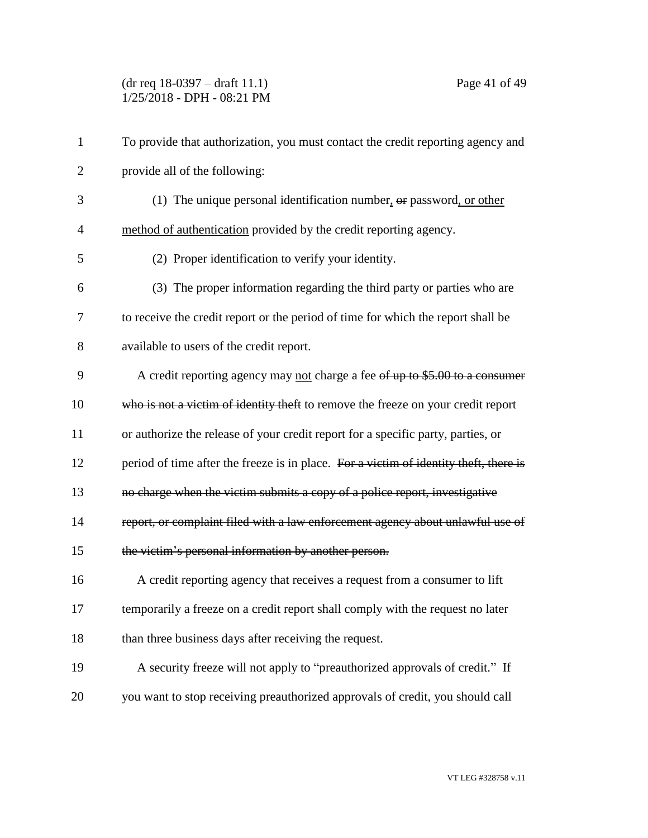(dr req 18-0397 – draft 11.1) Page 41 of 49 1/25/2018 - DPH - 08:21 PM

| $\mathbf{1}$   | To provide that authorization, you must contact the credit reporting agency and       |
|----------------|---------------------------------------------------------------------------------------|
| $\overline{2}$ | provide all of the following:                                                         |
| 3              | (1) The unique personal identification number, $\theta$ password, or other            |
| $\overline{4}$ | method of authentication provided by the credit reporting agency.                     |
| 5              | (2) Proper identification to verify your identity.                                    |
| 6              | (3) The proper information regarding the third party or parties who are               |
| 7              | to receive the credit report or the period of time for which the report shall be      |
| 8              | available to users of the credit report.                                              |
| 9              | A credit reporting agency may not charge a fee of up to \$5.00 to a consumer          |
| 10             | who is not a victim of identity theft to remove the freeze on your credit report      |
| 11             | or authorize the release of your credit report for a specific party, parties, or      |
| 12             | period of time after the freeze is in place. For a victim of identity theft, there is |
| 13             | no charge when the victim submits a copy of a police report, investigative            |
| 14             | report, or complaint filed with a law enforcement agency about unlawful use of        |
| 15             | the victim's personal information by another person.                                  |
| 16             | A credit reporting agency that receives a request from a consumer to lift             |
| 17             | temporarily a freeze on a credit report shall comply with the request no later        |
| 18             | than three business days after receiving the request.                                 |
| 19             | A security freeze will not apply to "preauthorized approvals of credit." If           |
| 20             | you want to stop receiving preauthorized approvals of credit, you should call         |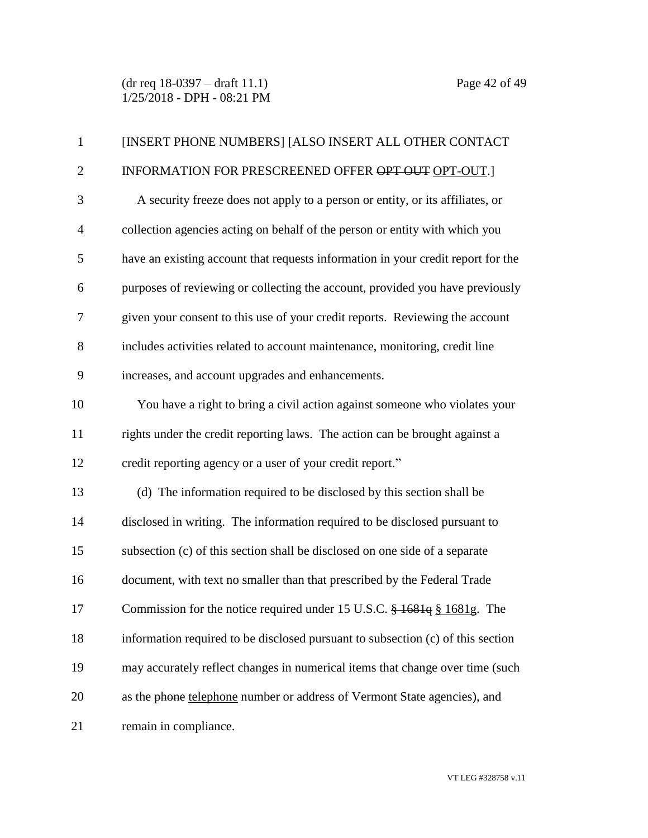(dr req 18-0397 – draft 11.1) Page 42 of 49 1/25/2018 - DPH - 08:21 PM

| $\mathbf{1}$   | [INSERT PHONE NUMBERS] [ALSO INSERT ALL OTHER CONTACT                            |
|----------------|----------------------------------------------------------------------------------|
| $\overline{2}$ | INFORMATION FOR PRESCREENED OFFER OPT OUT OPT-OUT.]                              |
| 3              | A security freeze does not apply to a person or entity, or its affiliates, or    |
| $\overline{4}$ | collection agencies acting on behalf of the person or entity with which you      |
| 5              | have an existing account that requests information in your credit report for the |
| 6              | purposes of reviewing or collecting the account, provided you have previously    |
| 7              | given your consent to this use of your credit reports. Reviewing the account     |
| 8              | includes activities related to account maintenance, monitoring, credit line      |
| 9              | increases, and account upgrades and enhancements.                                |
| 10             | You have a right to bring a civil action against someone who violates your       |
| 11             | rights under the credit reporting laws. The action can be brought against a      |
| 12             | credit reporting agency or a user of your credit report."                        |
| 13             | (d) The information required to be disclosed by this section shall be            |
| 14             | disclosed in writing. The information required to be disclosed pursuant to       |
| 15             | subsection (c) of this section shall be disclosed on one side of a separate      |
| 16             | document, with text no smaller than that prescribed by the Federal Trade         |
| 17             | Commission for the notice required under 15 U.S.C. $\frac{1681q}{1681g}$ . The   |
| 18             | information required to be disclosed pursuant to subsection (c) of this section  |
| 19             | may accurately reflect changes in numerical items that change over time (such    |
| 20             | as the phone telephone number or address of Vermont State agencies), and         |
| 21             | remain in compliance.                                                            |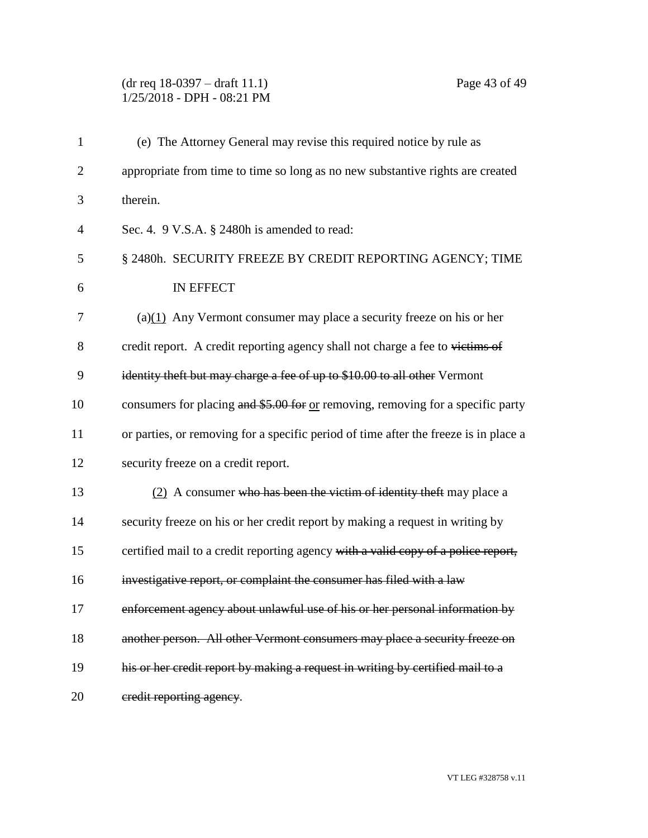### (dr req 18-0397 – draft 11.1) Page 43 of 49 1/25/2018 - DPH - 08:21 PM

| $\mathbf{1}$   | (e) The Attorney General may revise this required notice by rule as                  |
|----------------|--------------------------------------------------------------------------------------|
| $\overline{2}$ | appropriate from time to time so long as no new substantive rights are created       |
| 3              | therein.                                                                             |
| 4              | Sec. 4. 9 V.S.A. § 2480h is amended to read:                                         |
| 5              | § 2480h. SECURITY FREEZE BY CREDIT REPORTING AGENCY; TIME                            |
| 6              | IN EFFECT                                                                            |
| 7              | (a) $(1)$ Any Vermont consumer may place a security freeze on his or her             |
| 8              | credit report. A credit reporting agency shall not charge a fee to victims of        |
| 9              | identity theft but may charge a fee of up to \$10.00 to all other Vermont            |
| 10             | consumers for placing and \$5.00 for or removing, removing for a specific party      |
| 11             | or parties, or removing for a specific period of time after the freeze is in place a |
| 12             | security freeze on a credit report.                                                  |
| 13             | (2) A consumer who has been the victim of identity theft may place a                 |
| 14             | security freeze on his or her credit report by making a request in writing by        |
| 15             | certified mail to a credit reporting agency with a valid copy of a police report,    |
| 16             | investigative report, or complaint the consumer has filed with a law                 |
| 17             | enforcement agency about unlawful use of his or her personal information by          |
| 18             | another person. All other Vermont consumers may place a security freeze on           |
| 19             | his or her credit report by making a request in writing by certified mail to a       |
| 20             | eredit reporting agency.                                                             |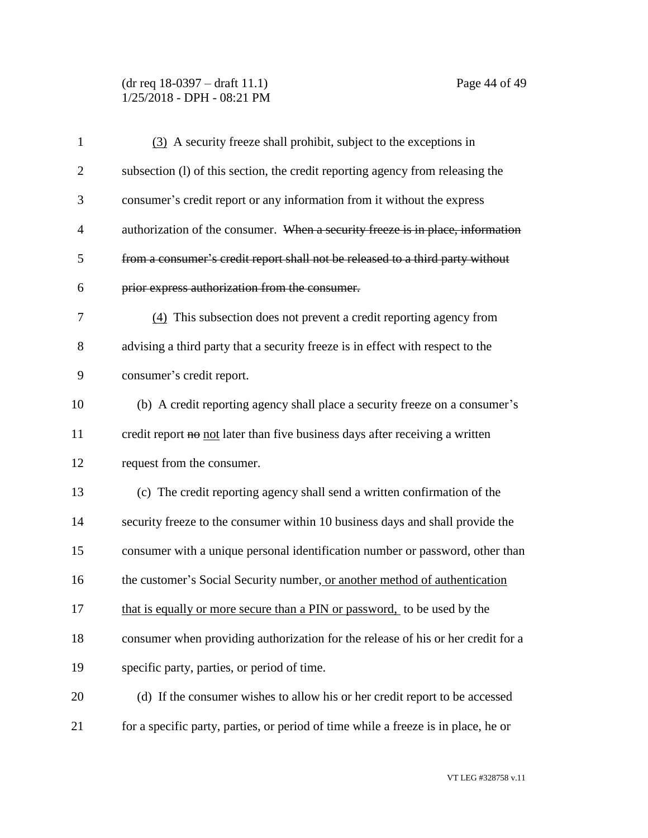(dr req 18-0397 – draft 11.1) Page 44 of 49 1/25/2018 - DPH - 08:21 PM

| $\mathbf{1}$   | (3) A security freeze shall prohibit, subject to the exceptions in                 |
|----------------|------------------------------------------------------------------------------------|
| $\overline{2}$ | subsection (1) of this section, the credit reporting agency from releasing the     |
| 3              | consumer's credit report or any information from it without the express            |
| $\overline{4}$ | authorization of the consumer. When a security freeze is in place, information     |
| 5              | from a consumer's credit report shall not be released to a third party without     |
| 6              | prior express authorization from the consumer.                                     |
| 7              | (4) This subsection does not prevent a credit reporting agency from                |
| 8              | advising a third party that a security freeze is in effect with respect to the     |
| 9              | consumer's credit report.                                                          |
| 10             | (b) A credit reporting agency shall place a security freeze on a consumer's        |
| 11             | credit report no not later than five business days after receiving a written       |
| 12             | request from the consumer.                                                         |
| 13             | (c) The credit reporting agency shall send a written confirmation of the           |
| 14             | security freeze to the consumer within 10 business days and shall provide the      |
| 15             | consumer with a unique personal identification number or password, other than      |
| 16             | the customer's Social Security number, or another method of authentication         |
| 17             | that is equally or more secure than a PIN or password, to be used by the           |
| 18             | consumer when providing authorization for the release of his or her credit for a   |
| 19             | specific party, parties, or period of time.                                        |
| 20             | (d) If the consumer wishes to allow his or her credit report to be accessed        |
| 21             | for a specific party, parties, or period of time while a freeze is in place, he or |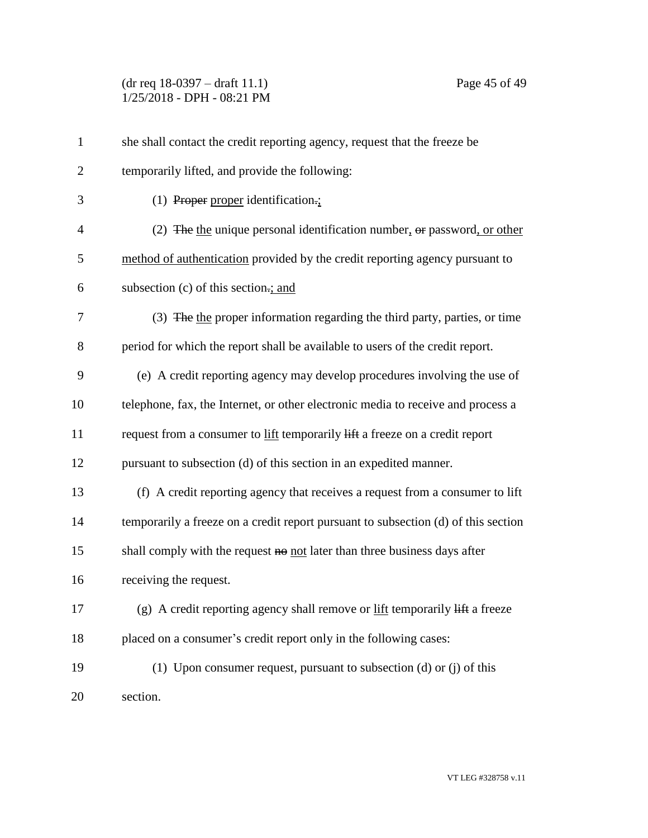(dr req 18-0397 – draft 11.1) Page 45 of 49 1/25/2018 - DPH - 08:21 PM

| $\mathbf{1}$   | she shall contact the credit reporting agency, request that the freeze be                               |
|----------------|---------------------------------------------------------------------------------------------------------|
| $\overline{2}$ | temporarily lifted, and provide the following:                                                          |
| 3              | $(1)$ Proper proper identification.;                                                                    |
| $\overline{4}$ | (2) The the unique personal identification number, $\theta$ re password, or other                       |
| 5              | method of authentication provided by the credit reporting agency pursuant to                            |
| 6              | subsection (c) of this section-; and                                                                    |
| 7              | (3) The the proper information regarding the third party, parties, or time                              |
| 8              | period for which the report shall be available to users of the credit report.                           |
| 9              | (e) A credit reporting agency may develop procedures involving the use of                               |
| 10             | telephone, fax, the Internet, or other electronic media to receive and process a                        |
| 11             | request from a consumer to lift temporarily lift a freeze on a credit report                            |
| 12             | pursuant to subsection (d) of this section in an expedited manner.                                      |
| 13             | (f) A credit reporting agency that receives a request from a consumer to lift                           |
| 14             | temporarily a freeze on a credit report pursuant to subsection (d) of this section                      |
| 15             | shall comply with the request no not later than three business days after                               |
| 16             | receiving the request.                                                                                  |
| 17             | (g) A credit reporting agency shall remove or $\underline{lift}$ temporarily $\overline{lift}$ a freeze |
| 18             | placed on a consumer's credit report only in the following cases:                                       |
| 19             | (1) Upon consumer request, pursuant to subsection (d) or (j) of this                                    |
| 20             | section.                                                                                                |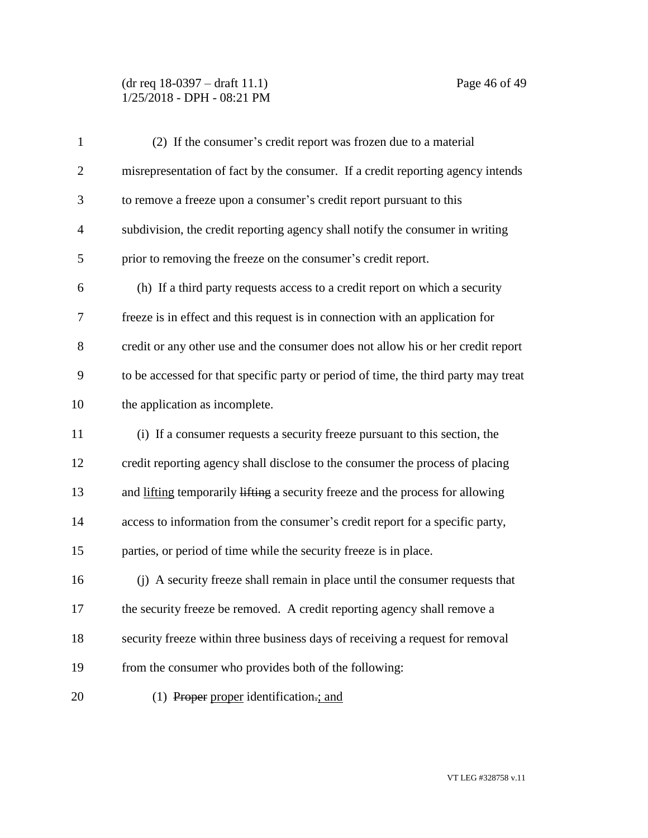#### (dr req 18-0397 – draft 11.1) Page 46 of 49 1/25/2018 - DPH - 08:21 PM

| $\mathbf{1}$   | (2) If the consumer's credit report was frozen due to a material                    |
|----------------|-------------------------------------------------------------------------------------|
| $\overline{2}$ | misrepresentation of fact by the consumer. If a credit reporting agency intends     |
| 3              | to remove a freeze upon a consumer's credit report pursuant to this                 |
| $\overline{4}$ | subdivision, the credit reporting agency shall notify the consumer in writing       |
| 5              | prior to removing the freeze on the consumer's credit report.                       |
| 6              | (h) If a third party requests access to a credit report on which a security         |
| $\tau$         | freeze is in effect and this request is in connection with an application for       |
| 8              | credit or any other use and the consumer does not allow his or her credit report    |
| 9              | to be accessed for that specific party or period of time, the third party may treat |
| 10             | the application as incomplete.                                                      |
| 11             | (i) If a consumer requests a security freeze pursuant to this section, the          |
| 12             | credit reporting agency shall disclose to the consumer the process of placing       |
| 13             | and lifting temporarily lifting a security freeze and the process for allowing      |
| 14             | access to information from the consumer's credit report for a specific party,       |
| 15             | parties, or period of time while the security freeze is in place.                   |
| 16             | (j) A security freeze shall remain in place until the consumer requests that        |
| 17             | the security freeze be removed. A credit reporting agency shall remove a            |
| 18             | security freeze within three business days of receiving a request for removal       |
| 19             | from the consumer who provides both of the following:                               |
| 20             | (1) Proper proper identification.; and                                              |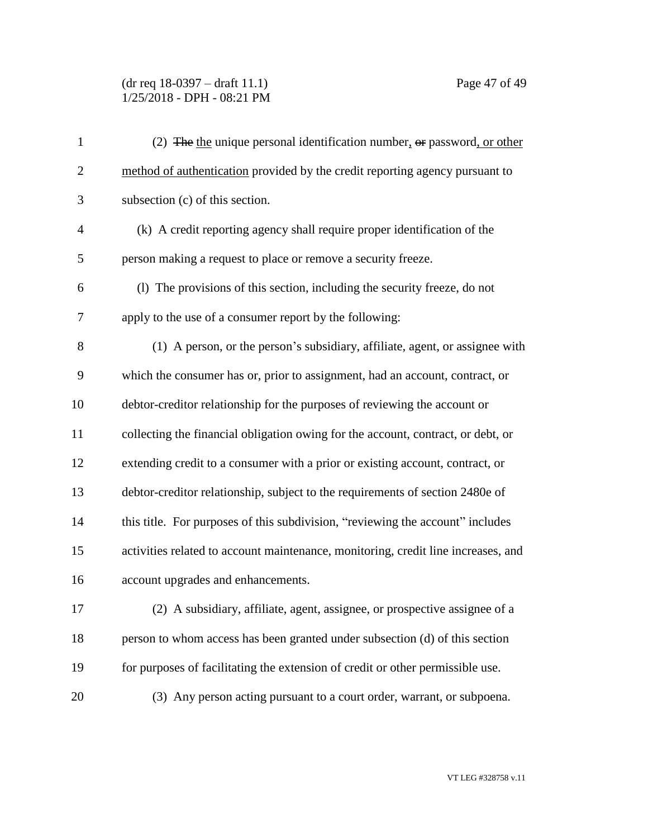### (dr req 18-0397 – draft 11.1) Page 47 of 49 1/25/2018 - DPH - 08:21 PM

| $\mathbf{1}$   | (2) The the unique personal identification number, or password, or other          |
|----------------|-----------------------------------------------------------------------------------|
| $\overline{2}$ | method of authentication provided by the credit reporting agency pursuant to      |
| 3              | subsection (c) of this section.                                                   |
| $\overline{4}$ | (k) A credit reporting agency shall require proper identification of the          |
| 5              | person making a request to place or remove a security freeze.                     |
| 6              | (1) The provisions of this section, including the security freeze, do not         |
| $\tau$         | apply to the use of a consumer report by the following:                           |
| 8              | (1) A person, or the person's subsidiary, affiliate, agent, or assignee with      |
| 9              | which the consumer has or, prior to assignment, had an account, contract, or      |
| 10             | debtor-creditor relationship for the purposes of reviewing the account or         |
| 11             | collecting the financial obligation owing for the account, contract, or debt, or  |
| 12             | extending credit to a consumer with a prior or existing account, contract, or     |
| 13             | debtor-creditor relationship, subject to the requirements of section 2480e of     |
| 14             | this title. For purposes of this subdivision, "reviewing the account" includes    |
| 15             | activities related to account maintenance, monitoring, credit line increases, and |
| 16             | account upgrades and enhancements.                                                |
| 17             | (2) A subsidiary, affiliate, agent, assignee, or prospective assignee of a        |
| 18             | person to whom access has been granted under subsection (d) of this section       |
| 19             | for purposes of facilitating the extension of credit or other permissible use.    |
| 20             | (3) Any person acting pursuant to a court order, warrant, or subpoena.            |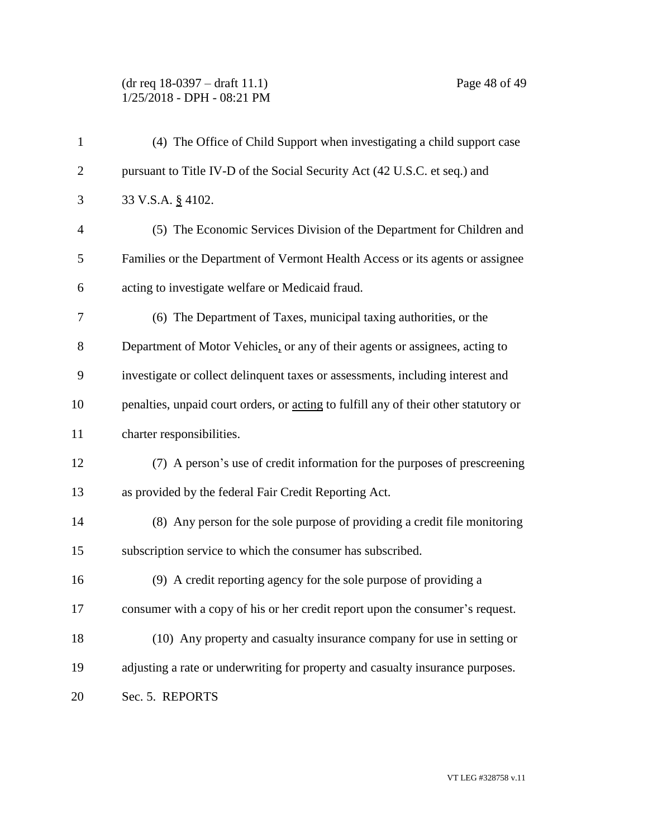(dr req 18-0397 – draft 11.1) Page 48 of 49 1/25/2018 - DPH - 08:21 PM

| $\mathbf{1}$   | (4) The Office of Child Support when investigating a child support case              |
|----------------|--------------------------------------------------------------------------------------|
| $\overline{2}$ | pursuant to Title IV-D of the Social Security Act (42 U.S.C. et seq.) and            |
| 3              | 33 V.S.A. § 4102.                                                                    |
| $\overline{4}$ | (5) The Economic Services Division of the Department for Children and                |
| 5              | Families or the Department of Vermont Health Access or its agents or assignee        |
| 6              | acting to investigate welfare or Medicaid fraud.                                     |
| 7              | (6) The Department of Taxes, municipal taxing authorities, or the                    |
| 8              | Department of Motor Vehicles, or any of their agents or assignees, acting to         |
| 9              | investigate or collect delinquent taxes or assessments, including interest and       |
| 10             | penalties, unpaid court orders, or acting to fulfill any of their other statutory or |
| 11             | charter responsibilities.                                                            |
| 12             | (7) A person's use of credit information for the purposes of prescreening            |
| 13             | as provided by the federal Fair Credit Reporting Act.                                |
| 14             | (8) Any person for the sole purpose of providing a credit file monitoring            |
| 15             | subscription service to which the consumer has subscribed.                           |
| 16             | (9) A credit reporting agency for the sole purpose of providing a                    |
| 17             | consumer with a copy of his or her credit report upon the consumer's request.        |
| 18             | (10) Any property and casualty insurance company for use in setting or               |
| 19             | adjusting a rate or underwriting for property and casualty insurance purposes.       |
| 20             | Sec. 5. REPORTS                                                                      |